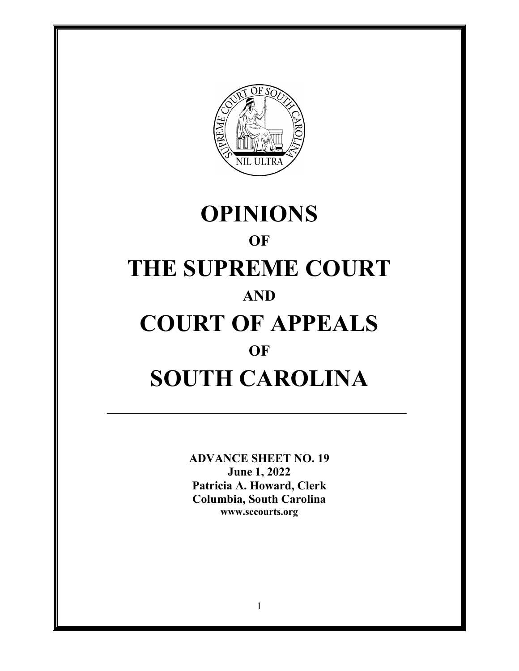

# **OPINIONS OF THE SUPREME COURT AND COURT OF APPEALS OF SOUTH CAROLINA**

**ADVANCE SHEET NO. 19 June 1, 2022 Patricia A. Howard, Clerk Columbia, South Carolina <www.sccourts.org>**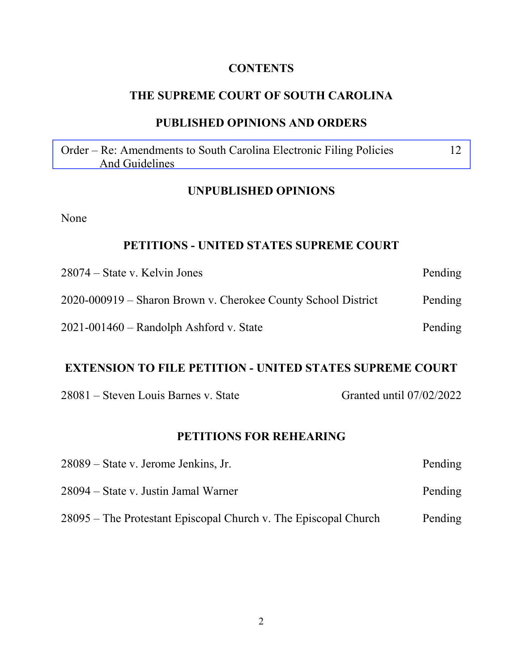#### **CONTENTS**

#### **THE SUPREME COURT OF SOUTH CAROLINA**

#### **PUBLISHED OPINIONS AND ORDERS**

[Order – Re: Amendments to South Carolina Electronic Filing Policies 12](#page-11-0)  And Guidelines

#### **UNPUBLISHED OPINIONS**

None

#### **PETITIONS - UNITED STATES SUPREME COURT**

| $28074 - State v. Kelvin Jones$                               | Pending |
|---------------------------------------------------------------|---------|
| 2020-000919 – Sharon Brown v. Cherokee County School District | Pending |
| $2021 - 001460$ – Randolph Ashford v. State                   | Pending |

#### **EXTENSION TO FILE PETITION - UNITED STATES SUPREME COURT**

|  | 28081 – Steven Louis Barnes v. State |  |  |  |  |
|--|--------------------------------------|--|--|--|--|
|--|--------------------------------------|--|--|--|--|

Granted until 07/02/2022

#### **PETITIONS FOR REHEARING**

| 28089 – State v. Jerome Jenkins, Jr.                            | Pending |
|-----------------------------------------------------------------|---------|
| 28094 – State v. Justin Jamal Warner                            | Pending |
| 28095 – The Protestant Episcopal Church v. The Episcopal Church | Pending |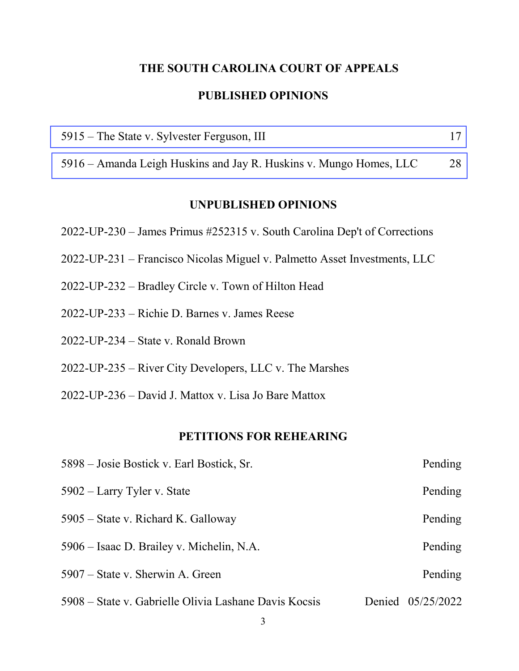# **THE SOUTH CAROLINA COURT OF APPEALS PUBLISHED OPINIONS**

| 5915 – The State v. Sylvester Ferguson, III |  |
|---------------------------------------------|--|
|                                             |  |

[5916 – Amanda Leigh Huskins and Jay R. Huskins v. Mungo Homes, LLC 28](#page-27-0) 

#### **UNPUBLISHED OPINIONS**

- 2022-UP-230 James Primus #252315 v. South Carolina Dep't of Corrections
- 2022-UP-231 Francisco Nicolas Miguel v. Palmetto Asset Investments, LLC
- 2022-UP-232 Bradley Circle v. Town of Hilton Head
- 2022-UP-233 Richie D. Barnes v. James Reese
- 2022-UP-234 State v. Ronald Brown
- 2022-UP-235 River City Developers, LLC v. The Marshes
- 2022-UP-236 David J. Mattox v. Lisa Jo Bare Mattox

#### **PETITIONS FOR REHEARING**

| 5898 – Josie Bostick v. Earl Bostick, Sr.             |        | Pending    |
|-------------------------------------------------------|--------|------------|
| 5902 – Larry Tyler v. State                           |        | Pending    |
| 5905 – State v. Richard K. Galloway                   |        | Pending    |
| 5906 – Isaac D. Brailey v. Michelin, N.A.             |        | Pending    |
| 5907 – State v. Sherwin A. Green                      |        | Pending    |
| 5908 – State v. Gabrielle Olivia Lashane Davis Kocsis | Denied | 05/25/2022 |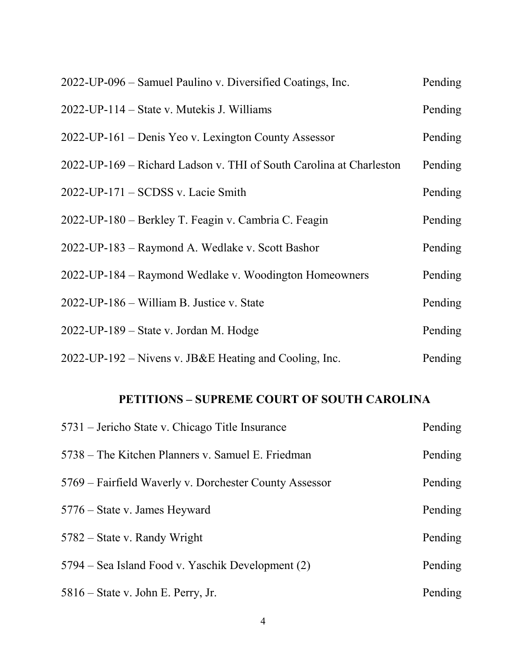| 2022-UP-096 – Samuel Paulino v. Diversified Coatings, Inc.          | Pending |
|---------------------------------------------------------------------|---------|
| 2022-UP-114 – State v. Mutekis J. Williams                          | Pending |
| 2022-UP-161 – Denis Yeo v. Lexington County Assessor                | Pending |
| 2022-UP-169 - Richard Ladson v. THI of South Carolina at Charleston | Pending |
| $2022$ -UP-171 – SCDSS v. Lacie Smith                               | Pending |
| 2022-UP-180 – Berkley T. Feagin v. Cambria C. Feagin                | Pending |
| 2022-UP-183 – Raymond A. Wedlake v. Scott Bashor                    | Pending |
| 2022-UP-184 – Raymond Wedlake v. Woodington Homeowners              | Pending |
| 2022-UP-186 – William B. Justice v. State                           | Pending |
| 2022-UP-189 – State v. Jordan M. Hodge                              | Pending |
| 2022-UP-192 – Nivens v. JB&E Heating and Cooling, Inc.              | Pending |

### **PETITIONS – SUPREME COURT OF SOUTH CAROLINA**

| 5731 – Jericho State v. Chicago Title Insurance        | Pending |
|--------------------------------------------------------|---------|
| 5738 – The Kitchen Planners v. Samuel E. Friedman      | Pending |
| 5769 – Fairfield Waverly v. Dorchester County Assessor | Pending |
| 5776 – State v. James Heyward                          | Pending |
| $5782$ – State v. Randy Wright                         | Pending |
| 5794 – Sea Island Food v. Yaschik Development (2)      | Pending |
| $5816$ – State v. John E. Perry, Jr.                   | Pending |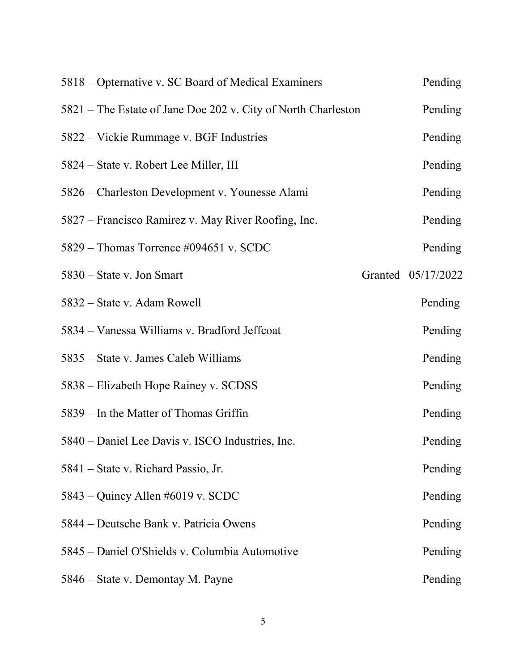| 5818 – Opternative v. SC Board of Medical Examiners           | Pending            |
|---------------------------------------------------------------|--------------------|
| 5821 – The Estate of Jane Doe 202 v. City of North Charleston | Pending            |
| 5822 – Vickie Rummage v. BGF Industries                       | Pending            |
| 5824 – State v. Robert Lee Miller, III                        | Pending            |
| 5826 – Charleston Development v. Younesse Alami               | Pending            |
| 5827 – Francisco Ramirez v. May River Roofing, Inc.           | Pending            |
| 5829 – Thomas Torrence #094651 v. SCDC                        | Pending            |
| $5830$ – State v. Jon Smart                                   | Granted 05/17/2022 |
| 5832 – State v. Adam Rowell                                   | Pending            |
| 5834 – Vanessa Williams v. Bradford Jeffcoat                  | Pending            |
| 5835 – State v. James Caleb Williams                          | Pending            |
| 5838 – Elizabeth Hope Rainey v. SCDSS                         | Pending            |
| 5839 – In the Matter of Thomas Griffin                        | Pending            |
| 5840 – Daniel Lee Davis v. ISCO Industries, Inc.              | Pending            |
| 5841 – State v. Richard Passio, Jr.                           | Pending            |
| 5843 – Quincy Allen #6019 v. SCDC                             | Pending            |
| 5844 – Deutsche Bank v. Patricia Owens                        | Pending            |
| 5845 - Daniel O'Shields v. Columbia Automotive                | Pending            |
| 5846 – State v. Demontay M. Payne                             | Pending            |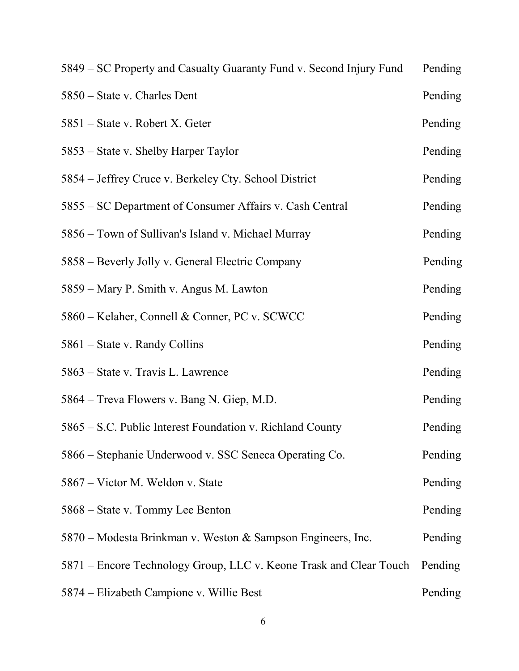| 5849 – SC Property and Casualty Guaranty Fund v. Second Injury Fund | Pending |
|---------------------------------------------------------------------|---------|
| 5850 – State v. Charles Dent                                        | Pending |
| 5851 – State v. Robert X. Geter                                     | Pending |
| 5853 – State v. Shelby Harper Taylor                                | Pending |
| 5854 – Jeffrey Cruce v. Berkeley Cty. School District               | Pending |
| 5855 – SC Department of Consumer Affairs v. Cash Central            | Pending |
| 5856 – Town of Sullivan's Island v. Michael Murray                  | Pending |
| 5858 – Beverly Jolly v. General Electric Company                    | Pending |
| 5859 – Mary P. Smith v. Angus M. Lawton                             | Pending |
| 5860 – Kelaher, Connell & Conner, PC v. SCWCC                       | Pending |
| 5861 – State v. Randy Collins                                       | Pending |
| 5863 – State v. Travis L. Lawrence                                  | Pending |
| 5864 - Treva Flowers v. Bang N. Giep, M.D.                          | Pending |
| 5865 – S.C. Public Interest Foundation v. Richland County           | Pending |
| 5866 – Stephanie Underwood v. SSC Seneca Operating Co.              | Pending |
| 5867 – Victor M. Weldon v. State                                    | Pending |
| 5868 – State v. Tommy Lee Benton                                    | Pending |
| 5870 – Modesta Brinkman v. Weston & Sampson Engineers, Inc.         | Pending |
| 5871 – Encore Technology Group, LLC v. Keone Trask and Clear Touch  | Pending |
| 5874 – Elizabeth Campione v. Willie Best                            | Pending |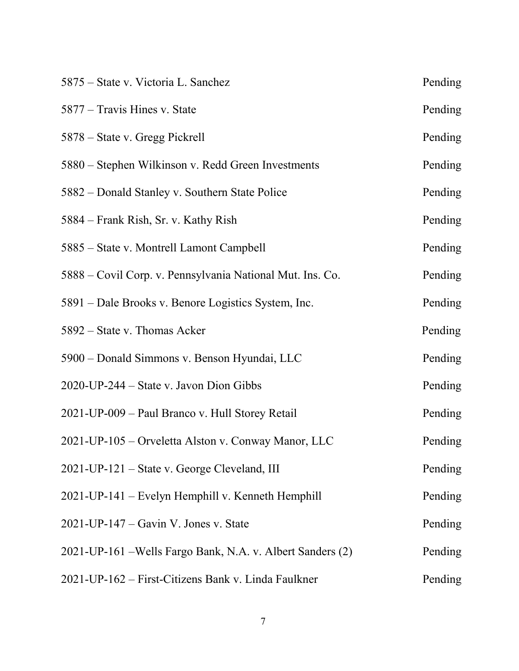| 5875 – State v. Victoria L. Sanchez                        | Pending |
|------------------------------------------------------------|---------|
| 5877 – Travis Hines v. State                               | Pending |
| 5878 – State v. Gregg Pickrell                             | Pending |
| 5880 – Stephen Wilkinson v. Redd Green Investments         | Pending |
| 5882 – Donald Stanley v. Southern State Police             | Pending |
| 5884 – Frank Rish, Sr. v. Kathy Rish                       | Pending |
| 5885 – State v. Montrell Lamont Campbell                   | Pending |
| 5888 – Covil Corp. v. Pennsylvania National Mut. Ins. Co.  | Pending |
| 5891 – Dale Brooks v. Benore Logistics System, Inc.        | Pending |
| 5892 – State v. Thomas Acker                               | Pending |
| 5900 – Donald Simmons v. Benson Hyundai, LLC               | Pending |
| 2020-UP-244 – State v. Javon Dion Gibbs                    | Pending |
| 2021-UP-009 - Paul Branco v. Hull Storey Retail            | Pending |
| 2021-UP-105 - Orveletta Alston v. Conway Manor, LLC        | Pending |
| 2021-UP-121 – State v. George Cleveland, III               | Pending |
| 2021-UP-141 – Evelyn Hemphill v. Kenneth Hemphill          | Pending |
| $2021$ -UP-147 – Gavin V. Jones v. State                   | Pending |
| 2021-UP-161 – Wells Fargo Bank, N.A. v. Albert Sanders (2) | Pending |
| 2021-UP-162 – First-Citizens Bank v. Linda Faulkner        | Pending |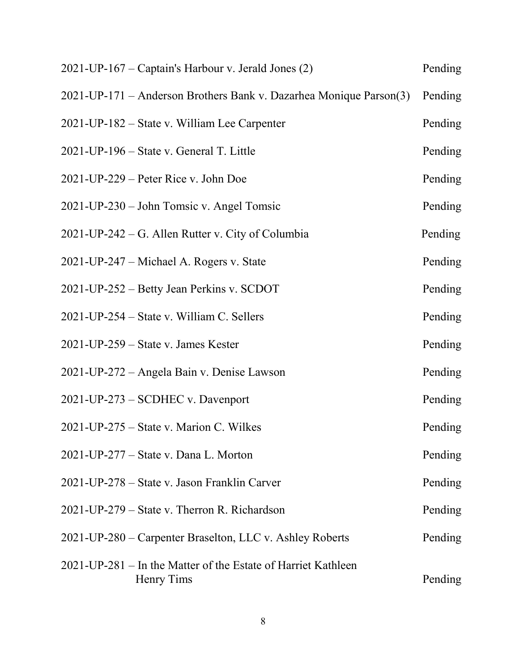| 2021-UP-167 – Captain's Harbour v. Jerald Jones (2)                         | Pending |
|-----------------------------------------------------------------------------|---------|
| 2021-UP-171 – Anderson Brothers Bank v. Dazarhea Monique Parson(3)          | Pending |
| 2021-UP-182 – State v. William Lee Carpenter                                | Pending |
| 2021-UP-196 – State v. General T. Little                                    | Pending |
| $2021$ -UP-229 – Peter Rice v. John Doe                                     | Pending |
| 2021-UP-230 – John Tomsic v. Angel Tomsic                                   | Pending |
| 2021-UP-242 – G. Allen Rutter v. City of Columbia                           | Pending |
| 2021-UP-247 – Michael A. Rogers v. State                                    | Pending |
| 2021-UP-252 – Betty Jean Perkins v. SCDOT                                   | Pending |
| 2021-UP-254 – State v. William C. Sellers                                   | Pending |
| $2021$ -UP-259 – State v. James Kester                                      | Pending |
| 2021-UP-272 - Angela Bain v. Denise Lawson                                  | Pending |
| 2021-UP-273 – SCDHEC v. Davenport                                           | Pending |
| 2021-UP-275 – State v. Marion C. Wilkes                                     | Pending |
| $2021$ -UP-277 – State v. Dana L. Morton                                    | Pending |
| 2021-UP-278 – State v. Jason Franklin Carver                                | Pending |
| 2021-UP-279 – State v. Therron R. Richardson                                | Pending |
| 2021-UP-280 – Carpenter Braselton, LLC v. Ashley Roberts                    | Pending |
| 2021-UP-281 – In the Matter of the Estate of Harriet Kathleen<br>Henry Tims | Pending |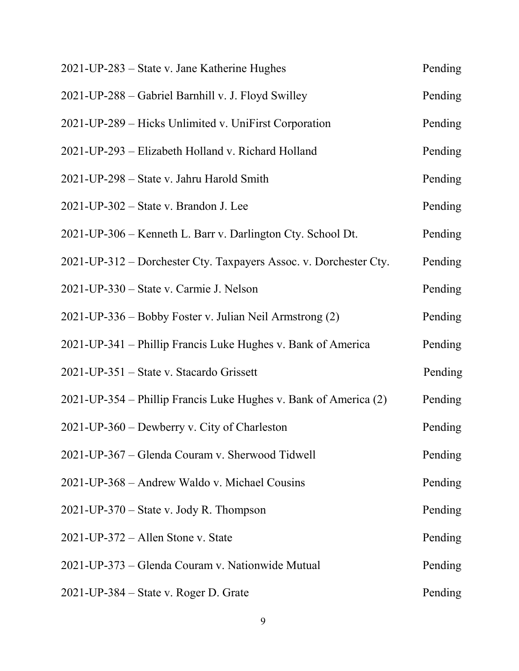| 2021-UP-283 – State v. Jane Katherine Hughes                      | Pending |
|-------------------------------------------------------------------|---------|
| 2021-UP-288 - Gabriel Barnhill v. J. Floyd Swilley                | Pending |
| 2021-UP-289 – Hicks Unlimited v. UniFirst Corporation             | Pending |
| 2021-UP-293 - Elizabeth Holland v. Richard Holland                | Pending |
| 2021-UP-298 – State v. Jahru Harold Smith                         | Pending |
| 2021-UP-302 – State v. Brandon J. Lee                             | Pending |
| 2021-UP-306 – Kenneth L. Barr v. Darlington Cty. School Dt.       | Pending |
| 2021-UP-312 – Dorchester Cty. Taxpayers Assoc. v. Dorchester Cty. | Pending |
| 2021-UP-330 – State v. Carmie J. Nelson                           | Pending |
| 2021-UP-336 – Bobby Foster v. Julian Neil Armstrong (2)           | Pending |
| 2021-UP-341 – Phillip Francis Luke Hughes v. Bank of America      | Pending |
| 2021-UP-351 – State v. Stacardo Grissett                          | Pending |
| 2021-UP-354 – Phillip Francis Luke Hughes v. Bank of America (2)  | Pending |
| 2021-UP-360 – Dewberry v. City of Charleston                      | Pending |
| 2021-UP-367 – Glenda Couram v. Sherwood Tidwell                   | Pending |
| 2021-UP-368 – Andrew Waldo v. Michael Cousins                     | Pending |
| $2021$ -UP-370 – State v. Jody R. Thompson                        | Pending |
| $2021$ -UP-372 – Allen Stone v. State                             | Pending |
| 2021-UP-373 – Glenda Couram v. Nationwide Mutual                  | Pending |
| $2021$ -UP-384 – State v. Roger D. Grate                          | Pending |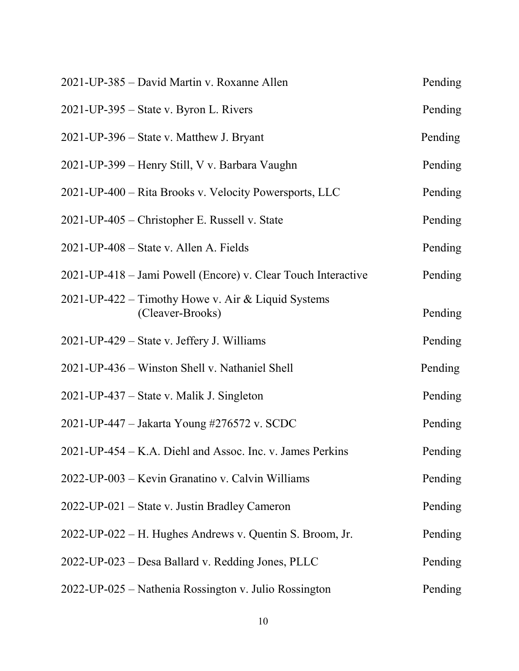| 2021-UP-385 - David Martin v. Roxanne Allen                            | Pending |
|------------------------------------------------------------------------|---------|
| 2021-UP-395 – State v. Byron L. Rivers                                 | Pending |
| 2021-UP-396 – State v. Matthew J. Bryant                               | Pending |
| 2021-UP-399 – Henry Still, V v. Barbara Vaughn                         | Pending |
| 2021-UP-400 – Rita Brooks v. Velocity Powersports, LLC                 | Pending |
| 2021-UP-405 – Christopher E. Russell v. State                          | Pending |
| $2021$ -UP-408 – State v. Allen A. Fields                              | Pending |
| 2021-UP-418 – Jami Powell (Encore) v. Clear Touch Interactive          | Pending |
| 2021-UP-422 – Timothy Howe v. Air & Liquid Systems<br>(Cleaver-Brooks) | Pending |
| 2021-UP-429 – State v. Jeffery J. Williams                             | Pending |
| 2021-UP-436 – Winston Shell v. Nathaniel Shell                         | Pending |
| 2021-UP-437 – State v. Malik J. Singleton                              | Pending |
| 2021-UP-447 – Jakarta Young #276572 v. SCDC                            | Pending |
| 2021-UP-454 – K.A. Diehl and Assoc. Inc. v. James Perkins              | Pending |
| 2022-UP-003 - Kevin Granatino v. Calvin Williams                       | Pending |
| 2022-UP-021 – State v. Justin Bradley Cameron                          | Pending |
| 2022-UP-022 – H. Hughes Andrews v. Quentin S. Broom, Jr.               | Pending |
| 2022-UP-023 – Desa Ballard v. Redding Jones, PLLC                      | Pending |
| 2022-UP-025 – Nathenia Rossington v. Julio Rossington                  | Pending |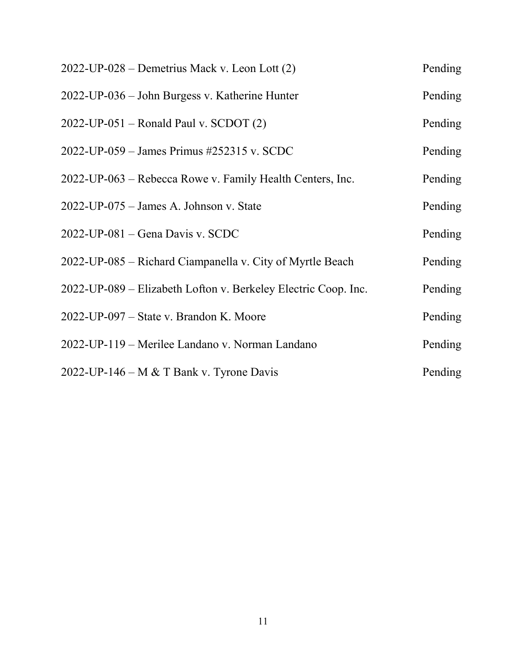| $2022$ -UP-028 – Demetrius Mack v. Leon Lott $(2)$             | Pending |
|----------------------------------------------------------------|---------|
| 2022-UP-036 – John Burgess v. Katherine Hunter                 | Pending |
| $2022$ -UP-051 – Ronald Paul v. SCDOT (2)                      | Pending |
| 2022-UP-059 – James Primus #252315 v. SCDC                     | Pending |
| 2022-UP-063 – Rebecca Rowe v. Family Health Centers, Inc.      | Pending |
| 2022-UP-075 - James A. Johnson v. State                        | Pending |
| $2022$ -UP-081 – Gena Davis v. SCDC                            | Pending |
| 2022-UP-085 – Richard Ciampanella v. City of Myrtle Beach      | Pending |
| 2022-UP-089 – Elizabeth Lofton v. Berkeley Electric Coop. Inc. | Pending |
| 2022-UP-097 – State v. Brandon K. Moore                        | Pending |
| 2022-UP-119 – Merilee Landano v. Norman Landano                | Pending |
| 2022-UP-146 – M & T Bank v. Tyrone Davis                       | Pending |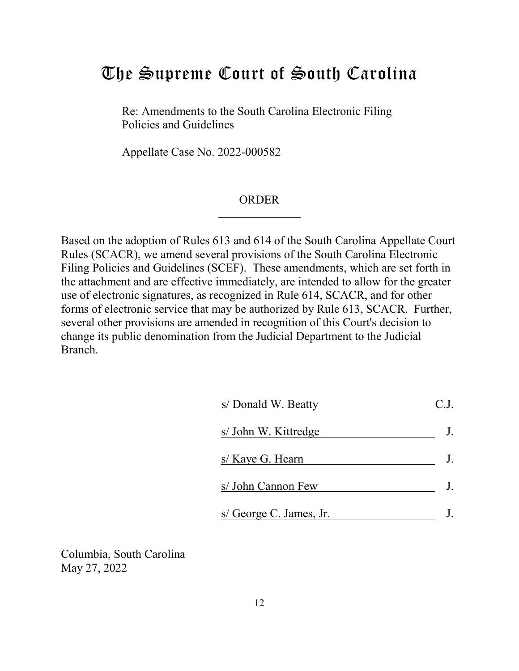## <span id="page-11-0"></span>The Supreme Court of South Carolina

Re: Amendments to the South Carolina Electronic Filing Policies and Guidelines

Appellate Case No. 2022-000582

#### ORDER

Based on the adoption of Rules 613 and 614 of the South Carolina Appellate Court Rules (SCACR), we amend several provisions of the South Carolina Electronic Filing Policies and Guidelines (SCEF). These amendments, which are set forth in the attachment and are effective immediately, are intended to allow for the greater use of electronic signatures, as recognized in Rule 614, SCACR, and for other forms of electronic service that may be authorized by Rule 613, SCACR. Further, several other provisions are amended in recognition of this Court's decision to change its public denomination from the Judicial Department to the Judicial Branch.

| s/ Donald W. Beatty     |  |
|-------------------------|--|
| s/ John W. Kittredge    |  |
| s/ Kaye G. Hearn        |  |
| s/ John Cannon Few      |  |
| s/ George C. James, Jr. |  |

Columbia, South Carolina May 27, 2022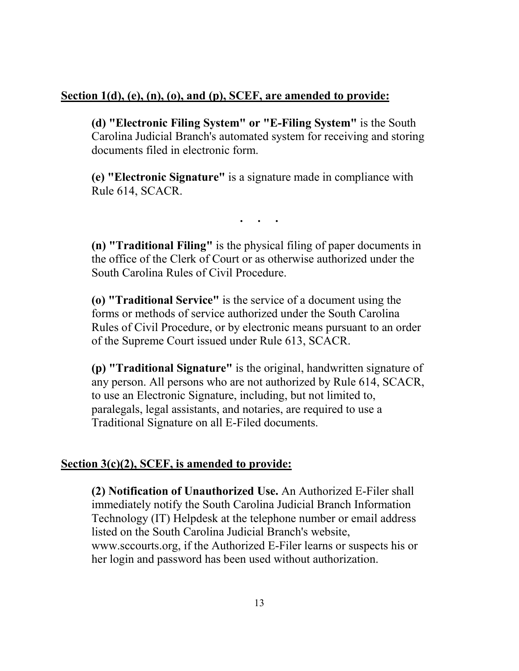#### **Section 1(d), (e), (n), (o), and (p), SCEF, are amended to provide:**

**(d) "Electronic Filing System" or "E-Filing System"** is the South Carolina Judicial Branch's automated system for receiving and storing documents filed in electronic form.

**(e) "Electronic Signature"** is a signature made in compliance with Rule 614, SCACR.

**. . .** 

**(n) "Traditional Filing"** is the physical filing of paper documents in the office of the Clerk of Court or as otherwise authorized under the South Carolina Rules of Civil Procedure.

**(o) "Traditional Service"** is the service of a document using the forms or methods of service authorized under the South Carolina Rules of Civil Procedure, or by electronic means pursuant to an order of the Supreme Court issued under Rule 613, SCACR.

**(p) "Traditional Signature"** is the original, handwritten signature of any person. All persons who are not authorized by Rule 614, SCACR, to use an Electronic Signature, including, but not limited to, paralegals, legal assistants, and notaries, are required to use a Traditional Signature on all E-Filed documents.

#### **Section 3(c)(2), SCEF, is amended to provide:**

**(2) Notification of Unauthorized Use.** An Authorized E-Filer shall immediately notify the South Carolina Judicial Branch Information Technology (IT) Helpdesk at the telephone number or email address listed on the South Carolina Judicial Branch's website, [www.sccourts.org,](www.sccourts.org) if the Authorized E-Filer learns or suspects his or her login and password has been used without authorization.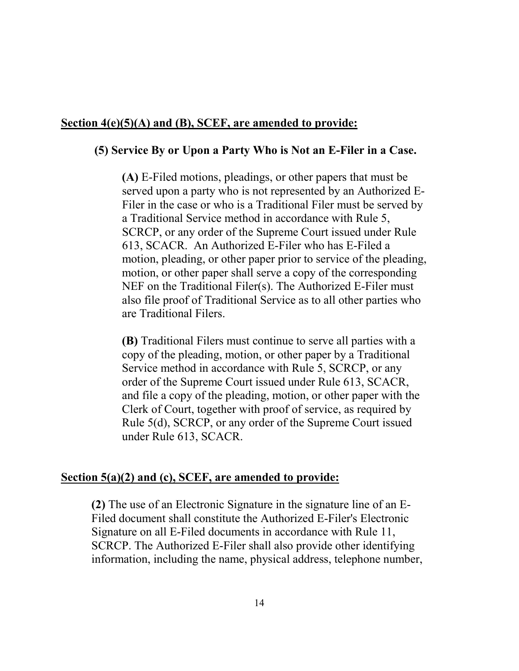#### **Section 4(e)(5)(A) and (B), SCEF, are amended to provide:**

#### **(5) Service By or Upon a Party Who is Not an E-Filer in a Case.**

**(A)** E-Filed motions, pleadings, or other papers that must be served upon a party who is not represented by an Authorized E-Filer in the case or who is a Traditional Filer must be served by a Traditional Service method in accordance with Rule 5, SCRCP, or any order of the Supreme Court issued under Rule 613, SCACR. An Authorized E-Filer who has E-Filed a motion, pleading, or other paper prior to service of the pleading, motion, or other paper shall serve a copy of the corresponding NEF on the Traditional Filer(s). The Authorized E-Filer must also file proof of Traditional Service as to all other parties who are Traditional Filers.

**(B)** Traditional Filers must continue to serve all parties with a copy of the pleading, motion, or other paper by a Traditional Service method in accordance with Rule 5, SCRCP, or any order of the Supreme Court issued under Rule 613, SCACR, and file a copy of the pleading, motion, or other paper with the Clerk of Court, together with proof of service, as required by Rule 5(d), SCRCP, or any order of the Supreme Court issued under Rule 613, SCACR.

#### **Section 5(a)(2) and (c), SCEF, are amended to provide:**

**(2)** The use of an Electronic Signature in the signature line of an E-Filed document shall constitute the Authorized E-Filer's Electronic Signature on all E-Filed documents in accordance with Rule 11, SCRCP. The Authorized E-Filer shall also provide other identifying information, including the name, physical address, telephone number,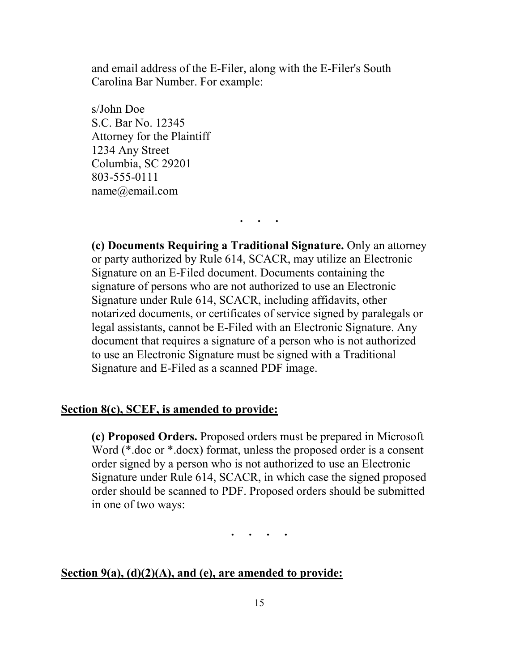and email address of the E-Filer, along with the E-Filer's South Carolina Bar Number. For example:

s/John Doe S.C. Bar No. 12345 Attorney for the Plaintiff 1234 Any Street Columbia, SC 29201 803-555-0111 [name@email.com](mailto:name@email.com)

**(c) Documents Requiring a Traditional Signature.** Only an attorney or party authorized by Rule 614, SCACR, may utilize an Electronic Signature on an E-Filed document. Documents containing the signature of persons who are not authorized to use an Electronic Signature under Rule 614, SCACR, including affidavits, other notarized documents, or certificates of service signed by paralegals or legal assistants, cannot be E-Filed with an Electronic Signature. Any document that requires a signature of a person who is not authorized to use an Electronic Signature must be signed with a Traditional Signature and E-Filed as a scanned PDF image.

**. . .** 

#### **Section 8(c), SCEF, is amended to provide:**

**(c) Proposed Orders.** Proposed orders must be prepared in Microsoft Word (\*.doc or \*.docx) format, unless the proposed order is a consent order signed by a person who is not authorized to use an Electronic Signature under Rule 614, SCACR, in which case the signed proposed order should be scanned to PDF. Proposed orders should be submitted in one of two ways:

**. . . .** 

#### **Section 9(a), (d)(2)(A), and (e), are amended to provide:**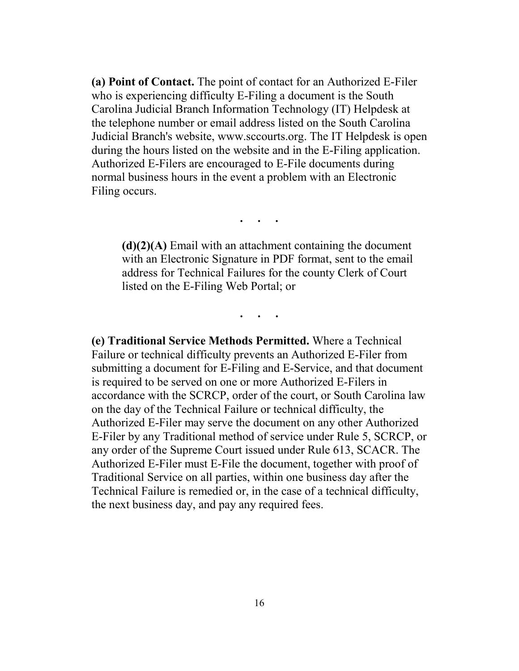**(a) Point of Contact.** The point of contact for an Authorized E-Filer who is experiencing difficulty E-Filing a document is the South Carolina Judicial Branch Information Technology (IT) Helpdesk at the telephone number or email address listed on the South Carolina Judicial Branch's website, [www.sccourts.org.](www.sccourts.org) The IT Helpdesk is open during the hours listed on the website and in the E-Filing application. Authorized E-Filers are encouraged to E-File documents during normal business hours in the event a problem with an Electronic Filing occurs.

**. . .** 

**(d)(2)(A)** Email with an attachment containing the document with an Electronic Signature in PDF format, sent to the email address for Technical Failures for the county Clerk of Court listed on the E-Filing Web Portal; or

**. . .** 

 is required to be served on one or more Authorized E-Filers in Authorized E-Filer must E-File the document, together with proof of Traditional Service on all parties, within one business day after the **(e) Traditional Service Methods Permitted.** Where a Technical Failure or technical difficulty prevents an Authorized E-Filer from submitting a document for E-Filing and E-Service, and that document accordance with the SCRCP, order of the court, or South Carolina law on the day of the Technical Failure or technical difficulty, the Authorized E-Filer may serve the document on any other Authorized E-Filer by any Traditional method of service under Rule 5, SCRCP, or any order of the Supreme Court issued under Rule 613, SCACR. The Technical Failure is remedied or, in the case of a technical difficulty, the next business day, and pay any required fees.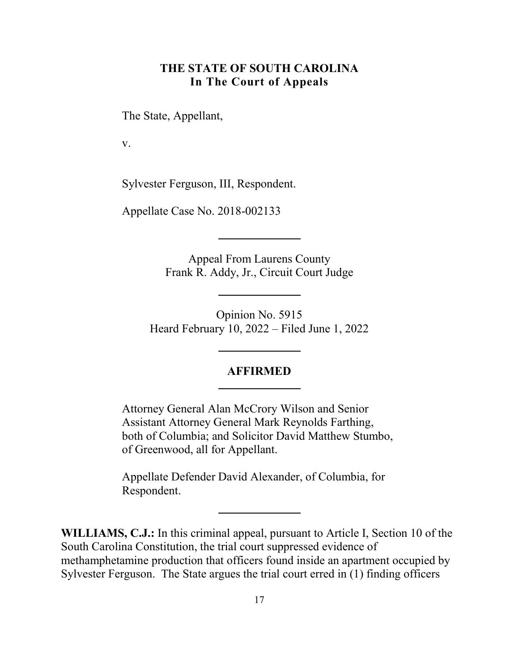#### **THE STATE OF SOUTH CAROLINA In The Court of Appeals**

<span id="page-16-0"></span>The State, Appellant,

v.

Sylvester Ferguson, III, Respondent.

Appellate Case No. 2018-002133

Appeal From Laurens County Frank R. Addy, Jr., Circuit Court Judge

 Heard February 10, 2022 – Filed June 1, 2022 Opinion No. 5915

#### **AFFIRMED**

 Attorney General Alan McCrory Wilson and Senior Assistant Attorney General Mark Reynolds Farthing, both of Columbia; and Solicitor David Matthew Stumbo, of Greenwood, all for Appellant.

Appellate Defender David Alexander, of Columbia, for Respondent.

 **WILLIAMS, C.J.:** In this criminal appeal, pursuant to Article I, Section 10 of the South Carolina Constitution, the trial court suppressed evidence of methamphetamine production that officers found inside an apartment occupied by Sylvester Ferguson. The State argues the trial court erred in (1) finding officers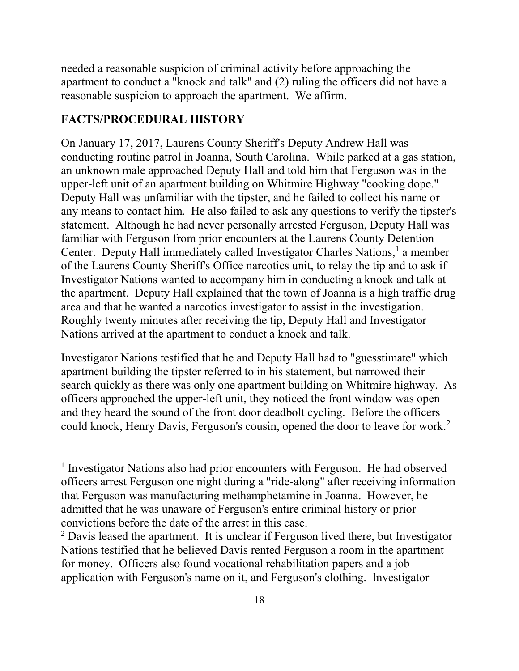apartment to conduct a "knock and talk" and (2) ruling the officers did not have a reasonable suspicion to approach the apartment. We affirm. needed a reasonable suspicion of criminal activity before approaching the

#### **FACTS/PROCEDURAL HISTORY**

 $\overline{a}$ 

 conducting routine patrol in Joanna, South Carolina. While parked at a gas station, upper-left unit of an apartment building on Whitmire Highway "cooking dope." statement. Although he had never personally arrested Ferguson, Deputy Hall was Center. Deputy Hall immediately called Investigator Charles Nations,<sup>[1](#page-17-0)</sup> a member the apartment. Deputy Hall explained that the town of Joanna is a high traffic drug area and that he wanted a narcotics investigator to assist in the investigation. Nations arrived at the apartment to conduct a knock and talk. On January 17, 2017, Laurens County Sheriff's Deputy Andrew Hall was an unknown male approached Deputy Hall and told him that Ferguson was in the Deputy Hall was unfamiliar with the tipster, and he failed to collect his name or any means to contact him. He also failed to ask any questions to verify the tipster's familiar with Ferguson from prior encounters at the Laurens County Detention of the Laurens County Sheriff's Office narcotics unit, to relay the tip and to ask if Investigator Nations wanted to accompany him in conducting a knock and talk at Roughly twenty minutes after receiving the tip, Deputy Hall and Investigator

 search quickly as there was only one apartment building on Whitmire highway. As officers approached the upper-left unit, they noticed the front window was open could knock, Henry Davis, Ferguson's cousin, opened the door to leave for work.<sup>2</sup> Investigator Nations testified that he and Deputy Hall had to "guesstimate" which apartment building the tipster referred to in his statement, but narrowed their and they heard the sound of the front door deadbolt cycling. Before the officers

<span id="page-17-0"></span><sup>&</sup>lt;sup>1</sup> Investigator Nations also had prior encounters with Ferguson. He had observed that Ferguson was manufacturing methamphetamine in Joanna. However, he convictions before the date of the arrest in this case. convictions before the date of the arrest in this case.<br><sup>2</sup> Davis leased the apartment. It is unclear if Ferguson lived there, but Investigator officers arrest Ferguson one night during a "ride-along" after receiving information admitted that he was unaware of Ferguson's entire criminal history or prior

<span id="page-17-1"></span> for money. Officers also found vocational rehabilitation papers and a job application with Ferguson's name on it, and Ferguson's clothing. Investigator Nations testified that he believed Davis rented Ferguson a room in the apartment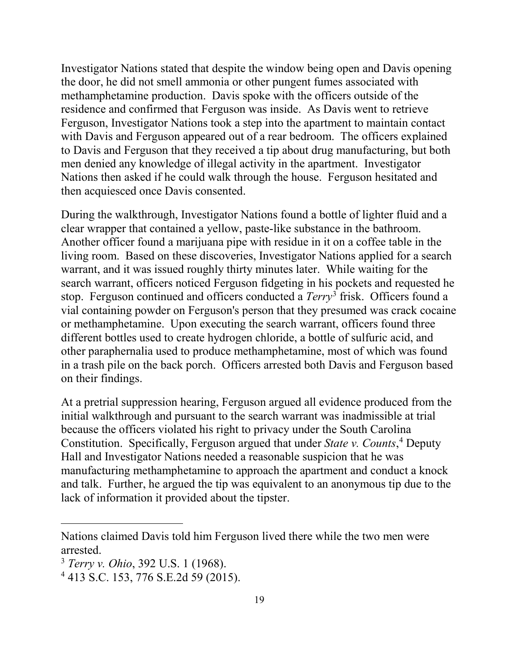the door, he did not smell ammonia or other pungent fumes associated with methamphetamine production. Davis spoke with the officers outside of the residence and confirmed that Ferguson was inside. As Davis went to retrieve Nations then asked if he could walk through the house. Ferguson hesitated and then acquiesced once Davis consented. Investigator Nations stated that despite the window being open and Davis opening Ferguson, Investigator Nations took a step into the apartment to maintain contact with Davis and Ferguson appeared out of a rear bedroom. The officers explained to Davis and Ferguson that they received a tip about drug manufacturing, but both men denied any knowledge of illegal activity in the apartment. Investigator

 clear wrapper that contained a yellow, paste-like substance in the bathroom. Another officer found a marijuana pipe with residue in it on a coffee table in the Another officer found a marijuana pipe with residue in it on a coffee table in the living room. Based on these discoveries, Investigator Nations applied for a search warrant, and it was issued roughly thirty minutes later. While waiting for the search warrant, officers noticed Ferguson fidgeting in his pockets and requested he stop. Ferguson continued and officers conducted a *Terry*[3](#page-18-0) frisk. Officers found a or methamphetamine. Upon executing the search warrant, officers found three different bottles used to create hydrogen chloride, a bottle of sulfuric acid, and in a trash pile on the back porch. Officers arrested both Davis and Ferguson based on their findings. During the walkthrough, Investigator Nations found a bottle of lighter fluid and a vial containing powder on Ferguson's person that they presumed was crack cocaine other paraphernalia used to produce methamphetamine, most of which was found

 Constitution. Specifically, Ferguson argued that under *State v. Counts*, [4](#page-18-1) Deputy and talk. Further, he argued the tip was equivalent to an anonymous tip due to the At a pretrial suppression hearing, Ferguson argued all evidence produced from the initial walkthrough and pursuant to the search warrant was inadmissible at trial because the officers violated his right to privacy under the South Carolina Hall and Investigator Nations needed a reasonable suspicion that he was manufacturing methamphetamine to approach the apartment and conduct a knock lack of information it provided about the tipster.

 $\overline{a}$ 

 Nations claimed Davis told him Ferguson lived there while the two men were arrested. 3 *Terry v. Ohio*, 392 U.S. 1 (1968).

<span id="page-18-0"></span>

<span id="page-18-1"></span><sup>4 413</sup> S.C. 153, 776 S.E.2d 59 (2015).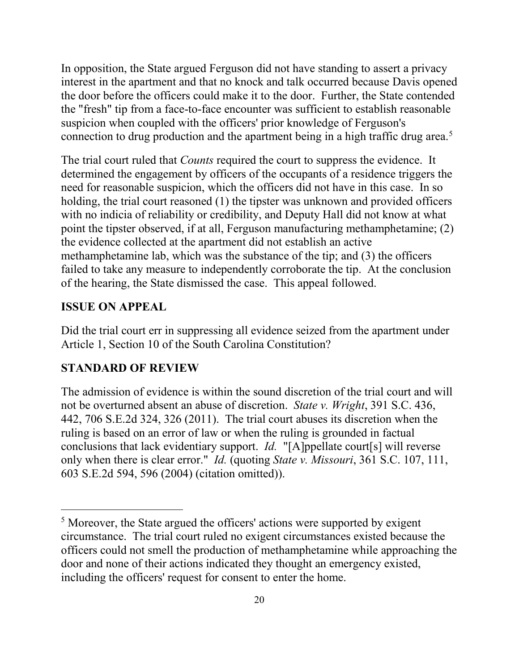interest in the apartment and that no knock and talk occurred because Davis opened the door before the officers could make it to the door. Further, the State contended connection to drug production and the apartment being in a high traffic drug area.<sup>[5](#page-19-0)</sup> In opposition, the State argued Ferguson did not have standing to assert a privacy the "fresh" tip from a face-to-face encounter was sufficient to establish reasonable suspicion when coupled with the officers' prior knowledge of Ferguson's

 need for reasonable suspicion, which the officers did not have in this case. In so of the hearing, the State dismissed the case. This appeal followed. The trial court ruled that *Counts* required the court to suppress the evidence. It determined the engagement by officers of the occupants of a residence triggers the holding, the trial court reasoned (1) the tipster was unknown and provided officers with no indicia of reliability or credibility, and Deputy Hall did not know at what point the tipster observed, if at all, Ferguson manufacturing methamphetamine; (2) the evidence collected at the apartment did not establish an active methamphetamine lab, which was the substance of the tip; and (3) the officers failed to take any measure to independently corroborate the tip. At the conclusion

#### **ISSUE ON APPEAL**

 $\overline{a}$ 

Did the trial court err in suppressing all evidence seized from the apartment under Article 1, Section 10 of the South Carolina Constitution?

#### **STANDARD OF REVIEW**

 not be overturned absent an abuse of discretion. *State v. Wright*, 391 S.C. 436, conclusions that lack evidentiary support. *Id.* "[A]ppellate court[s] will reverse only when there is clear error." *Id.* (quoting *State v. Missouri*, 361 S.C. 107, 111, The admission of evidence is within the sound discretion of the trial court and will 442, 706 S.E.2d 324, 326 (2011). The trial court abuses its discretion when the ruling is based on an error of law or when the ruling is grounded in factual 603 S.E.2d 594, 596 (2004) (citation omitted)).

<span id="page-19-0"></span> circumstance. The trial court ruled no exigent circumstances existed because the including the officers' request for consent to enter the home.<br>20 <sup>5</sup> Moreover, the State argued the officers' actions were supported by exigent officers could not smell the production of methamphetamine while approaching the door and none of their actions indicated they thought an emergency existed,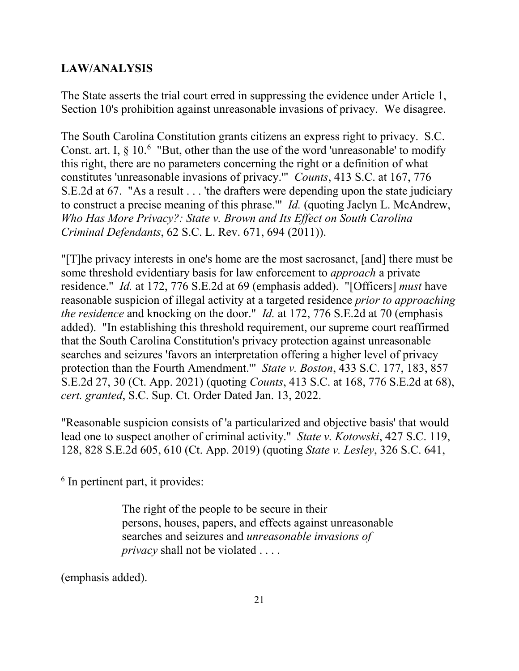#### **LAW/ANALYSIS**

 The State asserts the trial court erred in suppressing the evidence under Article 1, Section 10's prohibition against unreasonable invasions of privacy. We disagree.

Const. art. I,  $\S 10$ . <sup>[6](#page-20-0)</sup> "But, other than the use of the word 'unreasonable' to modify constitutes 'unreasonable invasions of privacy.'" *Counts*, 413 S.C. at 167, 776 S.E.2d at 67. "As a result . . . 'the drafters were depending upon the state judiciary Criminal Defendants, 62 S.C. L. Rev. 671, 694 (2011)). The South Carolina Constitution grants citizens an express right to privacy. S.C. this right, there are no parameters concerning the right or a definition of what to construct a precise meaning of this phrase.'" *Id.* (quoting Jaclyn L. McAndrew, *Who Has More Privacy?: State v. Brown and Its Effect on South Carolina* 

 residence." *Id.* at 172, 776 S.E.2d at 69 (emphasis added). "[Officers] *must* have *the residence* and knocking on the door." *Id.* at 172, 776 S.E.2d at 70 (emphasis protection than the Fourth Amendment.'" *State v. Boston*, 433 S.C. 177, 183, 857 *Criminal Defendants*, 62 S.C. L. Rev. 671, 694 (2011)). "[T]he privacy interests in one's home are the most sacrosanct, [and] there must be some threshold evidentiary basis for law enforcement to *approach* a private reasonable suspicion of illegal activity at a targeted residence *prior to approaching*  added). "In establishing this threshold requirement, our supreme court reaffirmed that the South Carolina Constitution's privacy protection against unreasonable searches and seizures 'favors an interpretation offering a higher level of privacy S.E.2d 27, 30 (Ct. App. 2021) (quoting *Counts*, 413 S.C. at 168, 776 S.E.2d at 68), *cert. granted*, S.C. Sup. Ct. Order Dated Jan. 13, 2022.

 lead one to suspect another of criminal activity." *State v. Kotowski*, 427 S.C. 119, "Reasonable suspicion consists of 'a particularized and objective basis' that would 128, 828 S.E.2d 605, 610 (Ct. App. 2019) (quoting *State v. Lesley*, 326 S.C. 641,

<span id="page-20-0"></span> $<sup>6</sup>$  In pertinent part, it provides:</sup>

 persons, houses, papers, and effects against unreasonable *privacy* shall not be violated . . . . The right of the people to be secure in their searches and seizures and *unreasonable invasions of* 

(emphasis added).

 $\overline{a}$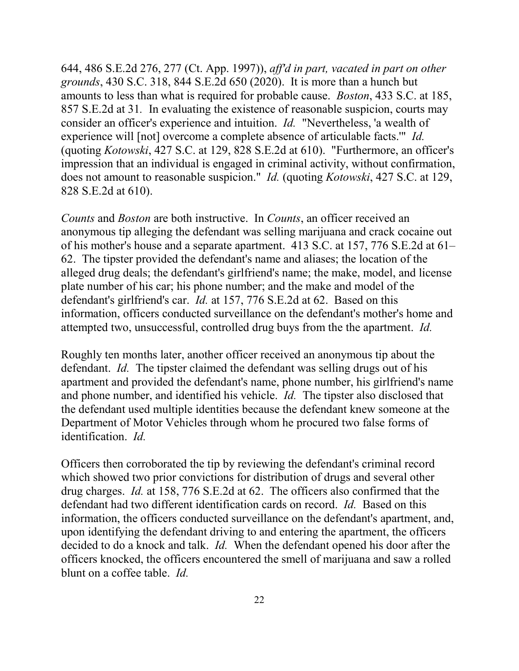644, 486 S.E.2d 276, 277 (Ct. App. 1997)), *aff'd in part, vacated in part on other*  amounts to less than what is required for probable cause. *Boston*, 433 S.C. at 185, 857 S.E.2d at 31*.* In evaluating the existence of reasonable suspicion, courts may consider an officer's experience and intuition. *Id.* "Nevertheless, 'a wealth of does not amount to reasonable suspicion." *Id.* (quoting *Kotowski*, 427 S.C. at 129, *grounds*, 430 S.C. 318, 844 S.E.2d 650 (2020). It is more than a hunch but experience will [not] overcome a complete absence of articulable facts.'" *Id.*  (quoting *Kotowski*, 427 S.C. at 129, 828 S.E.2d at 610). "Furthermore, an officer's impression that an individual is engaged in criminal activity, without confirmation, 828 S.E.2d at 610).

 *Counts* and *Boston* are both instructive. In *Counts*, an officer received an plate number of his car; his phone number; and the make and model of the defendant's girlfriend's car. *Id.* at 157, 776 S.E.2d at 62. Based on this attempted two, unsuccessful, controlled drug buys from the the apartment. *Id.*  anonymous tip alleging the defendant was selling marijuana and crack cocaine out of his mother's house and a separate apartment. 413 S.C. at 157, 776 S.E.2d at 61– 62. The tipster provided the defendant's name and aliases; the location of the alleged drug deals; the defendant's girlfriend's name; the make, model, and license information, officers conducted surveillance on the defendant's mother's home and

 defendant. *Id.* The tipster claimed the defendant was selling drugs out of his and phone number, and identified his vehicle. *Id.* The tipster also disclosed that identification. *Id.*  Roughly ten months later, another officer received an anonymous tip about the apartment and provided the defendant's name, phone number, his girlfriend's name the defendant used multiple identities because the defendant knew someone at the Department of Motor Vehicles through whom he procured two false forms of

 drug charges. *Id.* at 158, 776 S.E.2d at 62. The officers also confirmed that the defendant had two different identification cards on record. *Id.* Based on this decided to do a knock and talk. *Id.* When the defendant opened his door after the officers knocked, the officers encountered the smell of marijuana and saw a rolled blunt on a coffee table. *Id.*  Officers then corroborated the tip by reviewing the defendant's criminal record which showed two prior convictions for distribution of drugs and several other information, the officers conducted surveillance on the defendant's apartment, and, upon identifying the defendant driving to and entering the apartment, the officers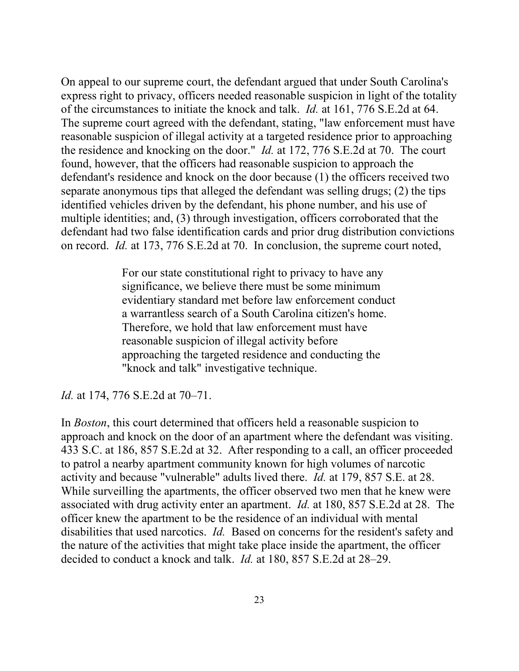of the circumstances to initiate the knock and talk. *Id.* at 161, 776 S.E.2d at 64. found, however, that the officers had reasonable suspicion to approach the defendant's residence and knock on the door because (1) the officers received two identified vehicles driven by the defendant, his phone number, and his use of on record. *Id.* at 173, 776 S.E.2d at 70. In conclusion, the supreme court noted, On appeal to our supreme court, the defendant argued that under South Carolina's express right to privacy, officers needed reasonable suspicion in light of the totality The supreme court agreed with the defendant, stating, "law enforcement must have reasonable suspicion of illegal activity at a targeted residence prior to approaching the residence and knocking on the door." *Id.* at 172, 776 S.E.2d at 70. The court separate anonymous tips that alleged the defendant was selling drugs; (2) the tips multiple identities; and, (3) through investigation, officers corroborated that the defendant had two false identification cards and prior drug distribution convictions

> For our state constitutional right to privacy to have any significance, we believe there must be some minimum evidentiary standard met before law enforcement conduct a warrantless search of a South Carolina citizen's home. Therefore, we hold that law enforcement must have reasonable suspicion of illegal activity before approaching the targeted residence and conducting the "knock and talk" investigative technique.

*Id.* at 174, 776 S.E.2d at 70–71.

approach and knock on the door of an apartment where the defendant was visiting. activity and because "vulnerable" adults lived there. *Id.* at 179, 857 S.E. at 28. While surveilling the apartments, the officer observed two men that he knew were associated with drug activity enter an apartment. *Id.* at 180, 857 S.E.2d at 28. The officer knew the apartment to be the residence of an individual with mental disabilities that used narcotics. *Id.* Based on concerns for the resident's safety and the nature of the activities that might take place inside the apartment, the officer decided to conduct a knock and talk. *Id.* at 180, 857 S.E.2d at 28–29. In *Boston*, this court determined that officers held a reasonable suspicion to 433 S.C. at 186, 857 S.E.2d at 32. After responding to a call, an officer proceeded to patrol a nearby apartment community known for high volumes of narcotic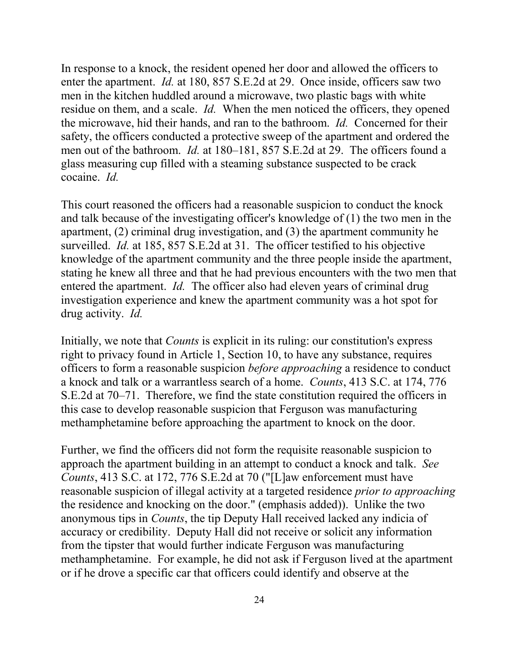enter the apartment. *Id.* at 180, 857 S.E.2d at 29. Once inside, officers saw two residue on them, and a scale. *Id.* When the men noticed the officers, they opened the microwave, hid their hands, and ran to the bathroom. *Id.* Concerned for their safety, the officers conducted a protective sweep of the apartment and ordered the men out of the bathroom. *Id.* at 180–181, 857 S.E.2d at 29. The officers found a cocaine. *Id.*  In response to a knock, the resident opened her door and allowed the officers to men in the kitchen huddled around a microwave, two plastic bags with white glass measuring cup filled with a steaming substance suspected to be crack

 and talk because of the investigating officer's knowledge of (1) the two men in the apartment, (2) criminal drug investigation, and (3) the apartment community he surveilled. *Id.* at 185, 857 S.E.2d at 31. The officer testified to his objective knowledge of the apartment community and the three people inside the apartment, entered the apartment. *Id.* The officer also had eleven years of criminal drug drug activity. *Id.*  This court reasoned the officers had a reasonable suspicion to conduct the knock stating he knew all three and that he had previous encounters with the two men that investigation experience and knew the apartment community was a hot spot for

 Initially, we note that *Counts* is explicit in its ruling: our constitution's express a knock and talk or a warrantless search of a home. *Counts*, 413 S.C. at 174, 776 methamphetamine before approaching the apartment to knock on the door. right to privacy found in Article 1, Section 10, to have any substance, requires officers to form a reasonable suspicion *before approaching* a residence to conduct S.E.2d at 70–71. Therefore, we find the state constitution required the officers in this case to develop reasonable suspicion that Ferguson was manufacturing

 methamphetamine before approaching the apartment to knock on the door. Further, we find the officers did not form the requisite reasonable suspicion to approach the apartment building in an attempt to conduct a knock and talk. *See*  accuracy or credibility. Deputy Hall did not receive or solicit any information or if he drove a specific car that officers could identify and observe at the *Counts*, 413 S.C. at 172, 776 S.E.2d at 70 ("[L]aw enforcement must have reasonable suspicion of illegal activity at a targeted residence *prior to approaching*  the residence and knocking on the door." (emphasis added)). Unlike the two anonymous tips in *Counts*, the tip Deputy Hall received lacked any indicia of from the tipster that would further indicate Ferguson was manufacturing methamphetamine. For example, he did not ask if Ferguson lived at the apartment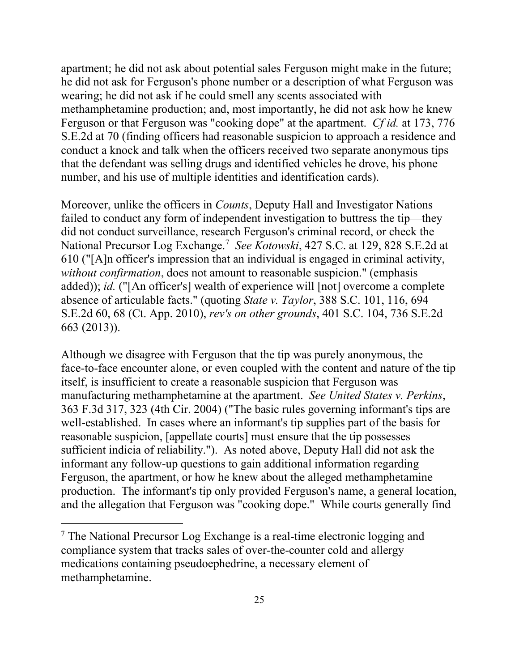Ferguson or that Ferguson was "cooking dope" at the apartment. *Cf id.* at 173, 776 number, and his use of multiple identities and identification cards). apartment; he did not ask about potential sales Ferguson might make in the future; he did not ask for Ferguson's phone number or a description of what Ferguson was wearing; he did not ask if he could smell any scents associated with methamphetamine production; and, most importantly, he did not ask how he knew S.E.2d at 70 (finding officers had reasonable suspicion to approach a residence and conduct a knock and talk when the officers received two separate anonymous tips that the defendant was selling drugs and identified vehicles he drove, his phone

 National Precursor Log Exchange.[7](#page-24-0) *See Kotowski*, 427 S.C. at 129, 828 S.E.2d at Moreover, unlike the officers in *Counts*, Deputy Hall and Investigator Nations failed to conduct any form of independent investigation to buttress the tip—they did not conduct surveillance, research Ferguson's criminal record, or check the 610 ("[A]n officer's impression that an individual is engaged in criminal activity, *without confirmation*, does not amount to reasonable suspicion." (emphasis added)); *id.* ("[An officer's] wealth of experience will [not] overcome a complete absence of articulable facts." (quoting *State v. Taylor*, 388 S.C. 101, 116, 694 S.E.2d 60, 68 (Ct. App. 2010), *rev's on other grounds*, 401 S.C. 104, 736 S.E.2d 663 (2013)).

 Although we disagree with Ferguson that the tip was purely anonymous, the manufacturing methamphetamine at the apartment. *See United States v. Perkins*, well-established. In cases where an informant's tip supplies part of the basis for face-to-face encounter alone, or even coupled with the content and nature of the tip itself, is insufficient to create a reasonable suspicion that Ferguson was 363 F.3d 317, 323 (4th Cir. 2004) ("The basic rules governing informant's tips are reasonable suspicion, [appellate courts] must ensure that the tip possesses sufficient indicia of reliability."). As noted above, Deputy Hall did not ask the informant any follow-up questions to gain additional information regarding Ferguson, the apartment, or how he knew about the alleged methamphetamine production. The informant's tip only provided Ferguson's name, a general location, and the allegation that Ferguson was "cooking dope." While courts generally find

 $\overline{a}$ 

<span id="page-24-0"></span> $<sup>7</sup>$  The National Precursor Log Exchange is a real-time electronic logging and</sup> compliance system that tracks sales of over-the-counter cold and allergy medications containing pseudoephedrine, a necessary element of methamphetamine.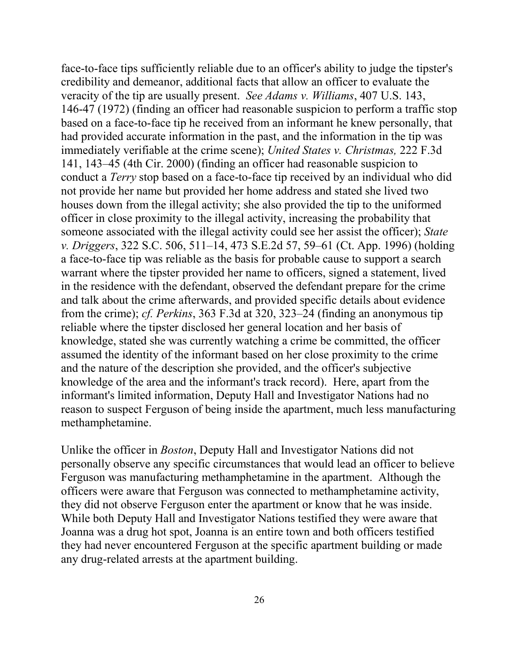veracity of the tip are usually present. *See Adams v. Williams*, 407 U.S. 143, 146-47 (1972) (finding an officer had reasonable suspicion to perform a traffic stop not provide her name but provided her home address and stated she lived two houses down from the illegal activity; she also provided the tip to the uniformed officer in close proximity to the illegal activity, increasing the probability that a face-to-face tip was reliable as the basis for probable cause to support a search in the residence with the defendant, observed the defendant prepare for the crime reliable where the tipster disclosed her general location and her basis of knowledge, stated she was currently watching a crime be committed, the officer and the nature of the description she provided, and the officer's subjective knowledge of the area and the informant's track record). Here, apart from the methamphetamine. face-to-face tips sufficiently reliable due to an officer's ability to judge the tipster's credibility and demeanor, additional facts that allow an officer to evaluate the based on a face-to-face tip he received from an informant he knew personally, that had provided accurate information in the past, and the information in the tip was immediately verifiable at the crime scene); *United States v. Christmas,* 222 F.3d 141, 143–45 (4th Cir. 2000) (finding an officer had reasonable suspicion to conduct a *Terry* stop based on a face-to-face tip received by an individual who did someone associated with the illegal activity could see her assist the officer); *State v. Driggers*, 322 S.C. 506, 511–14, 473 S.E.2d 57, 59–61 (Ct. App. 1996) (holding warrant where the tipster provided her name to officers, signed a statement, lived and talk about the crime afterwards, and provided specific details about evidence from the crime); *cf. Perkins*, 363 F.3d at 320, 323–24 (finding an anonymous tip assumed the identity of the informant based on her close proximity to the crime informant's limited information, Deputy Hall and Investigator Nations had no reason to suspect Ferguson of being inside the apartment, much less manufacturing

 they did not observe Ferguson enter the apartment or know that he was inside. While both Deputy Hall and Investigator Nations testified they were aware that any drug-related arrests at the apartment building. Unlike the officer in *Boston*, Deputy Hall and Investigator Nations did not personally observe any specific circumstances that would lead an officer to believe Ferguson was manufacturing methamphetamine in the apartment. Although the officers were aware that Ferguson was connected to methamphetamine activity, Joanna was a drug hot spot, Joanna is an entire town and both officers testified they had never encountered Ferguson at the specific apartment building or made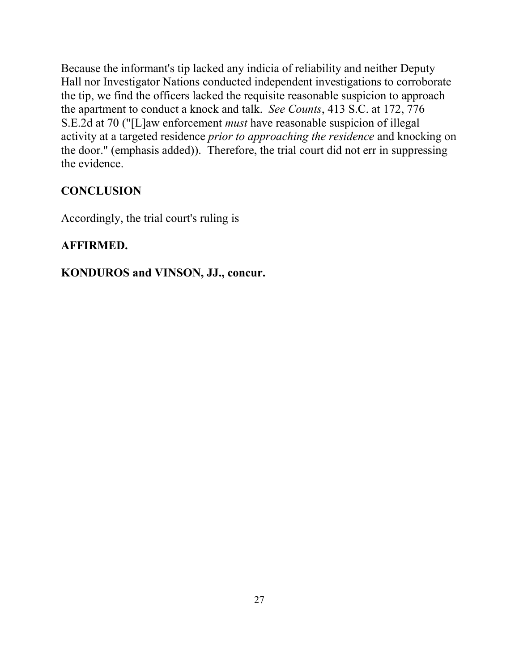the tip, we find the officers lacked the requisite reasonable suspicion to approach the apartment to conduct a knock and talk. *See Counts*, 413 S.C. at 172, 776 the evidence. Because the informant's tip lacked any indicia of reliability and neither Deputy Hall nor Investigator Nations conducted independent investigations to corroborate S.E.2d at 70 ("[L]aw enforcement *must* have reasonable suspicion of illegal activity at a targeted residence *prior to approaching the residence* and knocking on the door." (emphasis added)). Therefore, the trial court did not err in suppressing

#### **CONCLUSION**

Accordingly, the trial court's ruling is

#### **AFFIRMED.**

#### **KONDUROS and VINSON, JJ., concur.**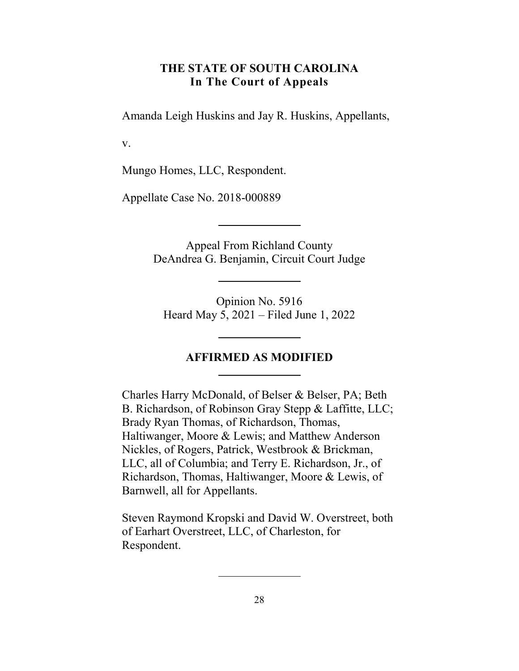#### **THE STATE OF SOUTH CAROLINA In The Court of Appeals**

<span id="page-27-0"></span>Amanda Leigh Huskins and Jay R. Huskins, Appellants,

v.

Mungo Homes, LLC, Respondent.

Appellate Case No. 2018-000889

Appeal From Richland County DeAndrea G. Benjamin, Circuit Court Judge

Opinion No. 5916 Heard May 5, 2021 – Filed June 1, 2022

#### **AFFIRMED AS MODIFIED**

 Nickles, of Rogers, Patrick, Westbrook & Brickman, Richardson, Thomas, Haltiwanger, Moore & Lewis, of Charles Harry McDonald, of Belser & Belser, PA; Beth B. Richardson, of Robinson Gray Stepp & Laffitte, LLC; Brady Ryan Thomas, of Richardson, Thomas, Haltiwanger, Moore & Lewis; and Matthew Anderson LLC, all of Columbia; and Terry E. Richardson, Jr., of Barnwell, all for Appellants.

Steven Raymond Kropski and David W. Overstreet, both of Earhart Overstreet, LLC, of Charleston, for Respondent.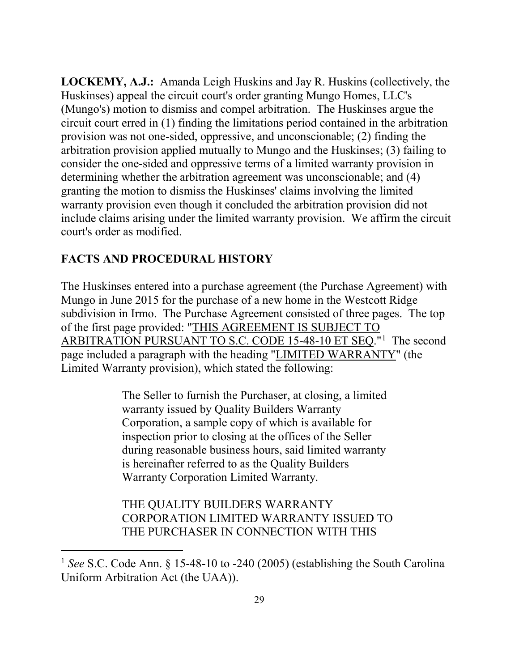**LOCKEMY, A.J.:** Amanda Leigh Huskins and Jay R. Huskins (collectively, the court's order as modified. Huskinses) appeal the circuit court's order granting Mungo Homes, LLC's (Mungo's) motion to dismiss and compel arbitration. The Huskinses argue the circuit court erred in (1) finding the limitations period contained in the arbitration provision was not one-sided, oppressive, and unconscionable; (2) finding the arbitration provision applied mutually to Mungo and the Huskinses; (3) failing to consider the one-sided and oppressive terms of a limited warranty provision in determining whether the arbitration agreement was unconscionable; and (4) granting the motion to dismiss the Huskinses' claims involving the limited warranty provision even though it concluded the arbitration provision did not include claims arising under the limited warranty provision. We affirm the circuit

#### **FACTS AND PROCEDURAL HISTORY**

 $\overline{a}$ 

 Mungo in June 2015 for the purchase of a new home in the Westcott Ridge ARBITRATION PURSUANT TO S.C. CODE [1](#page-28-0)5-48-10 ET SEQ."<sup>1</sup> The second The Huskinses entered into a purchase agreement (the Purchase Agreement) with subdivision in Irmo. The Purchase Agreement consisted of three pages. The top of the first page provided: "THIS AGREEMENT IS SUBJECT TO page included a paragraph with the heading "LIMITED WARRANTY" (the Limited Warranty provision), which stated the following:

> The Seller to furnish the Purchaser, at closing, a limited warranty issued by Quality Builders Warranty Corporation, a sample copy of which is available for inspection prior to closing at the offices of the Seller during reasonable business hours, said limited warranty is hereinafter referred to as the Quality Builders Warranty Corporation Limited Warranty.

THE QUALITY BUILDERS WARRANTY CORPORATION LIMITED WARRANTY ISSUED TO THE PURCHASER IN CONNECTION WITH THIS

<span id="page-28-0"></span><sup>&</sup>lt;sup>1</sup> See S.C. Code Ann. § 15-48-10 to -240 (2005) (establishing the South Carolina Uniform Arbitration Act (the UAA)).<br>29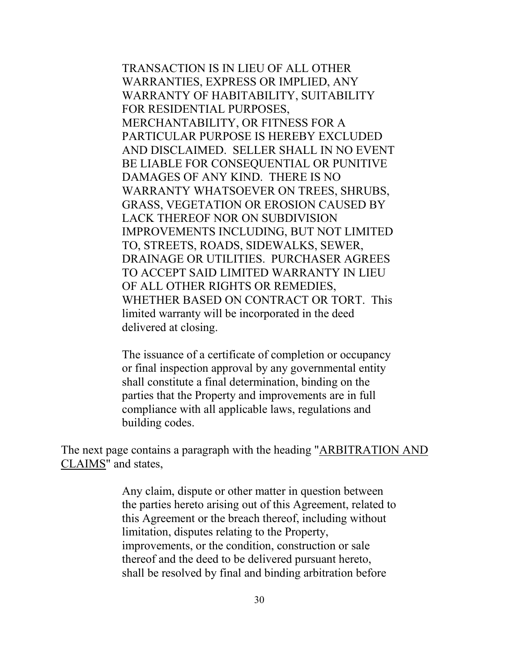WHETHER BASED ON CONTRACT OR TORT. This delivered at closing. TRANSACTION IS IN LIEU OF ALL OTHER WARRANTIES, EXPRESS OR IMPLIED, ANY WARRANTY OF HABITABILITY, SUITABILITY FOR RESIDENTIAL PURPOSES, MERCHANTABILITY, OR FITNESS FOR A PARTICULAR PURPOSE IS HEREBY EXCLUDED AND DISCLAIMED. SELLER SHALL IN NO EVENT BE LIABLE FOR CONSEQUENTIAL OR PUNITIVE DAMAGES OF ANY KIND. THERE IS NO WARRANTY WHATSOEVER ON TREES, SHRUBS, GRASS, VEGETATION OR EROSION CAUSED BY LACK THEREOF NOR ON SUBDIVISION IMPROVEMENTS INCLUDING, BUT NOT LIMITED TO, STREETS, ROADS, SIDEWALKS, SEWER, DRAINAGE OR UTILITIES. PURCHASER AGREES TO ACCEPT SAID LIMITED WARRANTY IN LIEU OF ALL OTHER RIGHTS OR REMEDIES, limited warranty will be incorporated in the deed

The issuance of a certificate of completion or occupancy or final inspection approval by any governmental entity shall constitute a final determination, binding on the parties that the Property and improvements are in full compliance with all applicable laws, regulations and building codes.

The next page contains a paragraph with the heading "ARBITRATION AND CLAIMS" and states,

> limitation, disputes relating to the Property, improvements, or the condition, construction or sale Any claim, dispute or other matter in question between the parties hereto arising out of this Agreement, related to this Agreement or the breach thereof, including without thereof and the deed to be delivered pursuant hereto, shall be resolved by final and binding arbitration before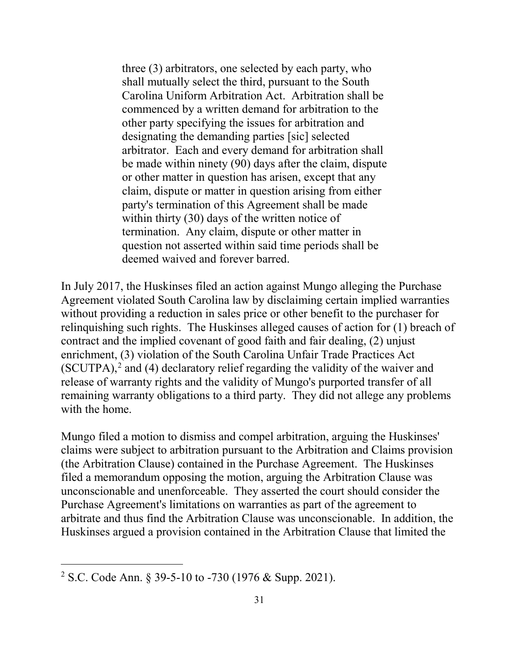be made within ninety (90) days after the claim, dispute within thirty (30) days of the written notice of termination. Any claim, dispute or other matter in deemed waived and forever barred. three (3) arbitrators, one selected by each party, who shall mutually select the third, pursuant to the South Carolina Uniform Arbitration Act. Arbitration shall be commenced by a written demand for arbitration to the other party specifying the issues for arbitration and designating the demanding parties [sic] selected arbitrator. Each and every demand for arbitration shall or other matter in question has arisen, except that any claim, dispute or matter in question arising from either party's termination of this Agreement shall be made question not asserted within said time periods shall be

 Agreement violated South Carolina law by disclaiming certain implied warranties relinquishing such rights. The Huskinses alleged causes of action for (1) breach of release of warranty rights and the validity of Mungo's purported transfer of all with the home. In July 2017, the Huskinses filed an action against Mungo alleging the Purchase without providing a reduction in sales price or other benefit to the purchaser for contract and the implied covenant of good faith and fair dealing, (2) unjust enrichment, (3) violation of the South Carolina Unfair Trade Practices Act  $(SCUTPA)<sup>2</sup>$  and (4) declaratory relief regarding the validity of the waiver and remaining warranty obligations to a third party. They did not allege any problems

Mungo filed a motion to dismiss and compel arbitration, arguing the Huskinses' claims were subject to arbitration pursuant to the Arbitration and Claims provision (the Arbitration Clause) contained in the Purchase Agreement. The Huskinses filed a memorandum opposing the motion, arguing the Arbitration Clause was unconscionable and unenforceable. They asserted the court should consider the Purchase Agreement's limitations on warranties as part of the agreement to arbitrate and thus find the Arbitration Clause was unconscionable. In addition, the Huskinses argued a provision contained in the Arbitration Clause that limited the

 $\overline{a}$ 

<span id="page-30-0"></span><sup>2</sup> S.C. Code Ann. § 39-5-10 to -730 (1976 & Supp. 2021).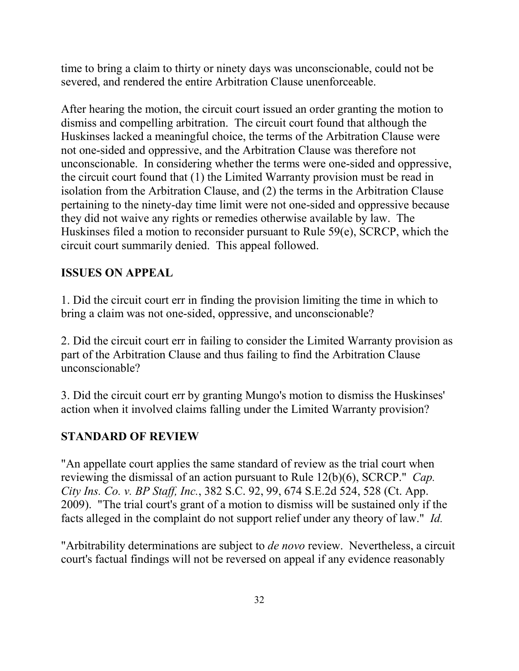time to bring a claim to thirty or ninety days was unconscionable, could not be severed, and rendered the entire Arbitration Clause unenforceable.

After hearing the motion, the circuit court issued an order granting the motion to dismiss and compelling arbitration. The circuit court found that although the Huskinses lacked a meaningful choice, the terms of the Arbitration Clause were not one-sided and oppressive, and the Arbitration Clause was therefore not unconscionable. In considering whether the terms were one-sided and oppressive, the circuit court found that (1) the Limited Warranty provision must be read in isolation from the Arbitration Clause, and (2) the terms in the Arbitration Clause pertaining to the ninety-day time limit were not one-sided and oppressive because they did not waive any rights or remedies otherwise available by law. The Huskinses filed a motion to reconsider pursuant to Rule 59(e), SCRCP, which the circuit court summarily denied. This appeal followed.

#### **ISSUES ON APPEAL**

1. Did the circuit court err in finding the provision limiting the time in which to bring a claim was not one-sided, oppressive, and unconscionable?

2. Did the circuit court err in failing to consider the Limited Warranty provision as part of the Arbitration Clause and thus failing to find the Arbitration Clause unconscionable?

3. Did the circuit court err by granting Mungo's motion to dismiss the Huskinses' action when it involved claims falling under the Limited Warranty provision?

#### **STANDARD OF REVIEW**

"An appellate court applies the same standard of review as the trial court when reviewing the dismissal of an action pursuant to Rule 12(b)(6), SCRCP." *Cap. City Ins. Co. v. BP Staff, Inc.*, 382 S.C. 92, 99, 674 S.E.2d 524, 528 (Ct. App. 2009). "The trial court's grant of a motion to dismiss will be sustained only if the facts alleged in the complaint do not support relief under any theory of law." *Id.* 

"Arbitrability determinations are subject to *de novo* review. Nevertheless, a circuit court's factual findings will not be reversed on appeal if any evidence reasonably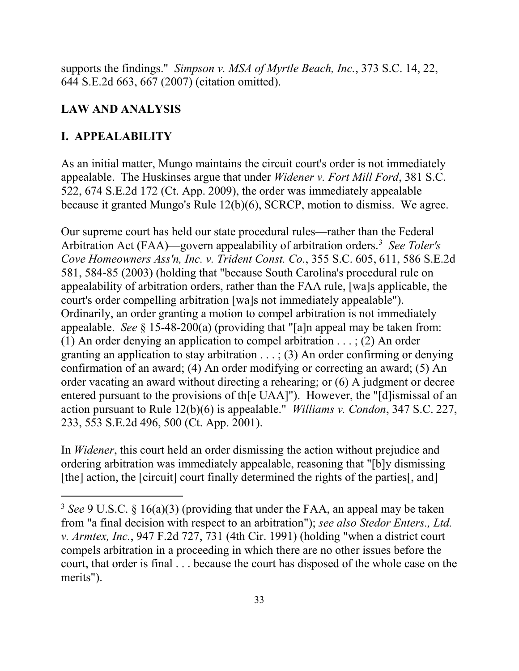supports the findings." *Simpson v. MSA of Myrtle Beach, Inc.*, 373 S.C. 14, 22, 644 S.E.2d 663, 667 (2007) (citation omitted).

#### **LAW AND ANALYSIS**

#### **I. APPEALABILITY**

 $\overline{a}$ 

 As an initial matter, Mungo maintains the circuit court's order is not immediately 522, 674 S.E.2d 172 (Ct. App. 2009), the order was immediately appealable appealable. The Huskinses argue that under *Widener v. Fort Mill Ford*, 381 S.C. because it granted Mungo's Rule 12(b)(6), SCRCP, motion to dismiss. We agree.

 Arbitration Act (FAA)—govern appealability of arbitration orders.[3](#page-32-0) *See Toler's Cove Homeowners Ass'n, Inc. v. Trident Const. Co.*, 355 S.C. 605, 611, 586 S.E.2d court's order compelling arbitration [wa]s not immediately appealable"). appealable. *See* § 15-48-200(a) (providing that "[a]n appeal may be taken from: (1) An order denying an application to compel arbitration . . . ; (2) An order granting an application to stay arbitration . . . ; (3) An order confirming or denying order vacating an award without directing a rehearing; or (6) A judgment or decree action pursuant to Rule 12(b)(6) is appealable." *Williams v. Condon*, 347 S.C. 227, Our supreme court has held our state procedural rules—rather than the Federal 581, 584-85 (2003) (holding that "because South Carolina's procedural rule on appealability of arbitration orders, rather than the FAA rule, [wa]s applicable, the Ordinarily, an order granting a motion to compel arbitration is not immediately confirmation of an award; (4) An order modifying or correcting an award; (5) An entered pursuant to the provisions of th[e UAA]"). However, the "[d]ismissal of an 233, 553 S.E.2d 496, 500 (Ct. App. 2001).

In *Widener*, this court held an order dismissing the action without prejudice and ordering arbitration was immediately appealable, reasoning that "[b]y dismissing [the] action, the [circuit] court finally determined the rights of the parties[, and]

<span id="page-32-0"></span> court, that order is final . . . because the court has disposed of the whole case on the merits"). <sup>3</sup>*See* 9 U.S.C. § 16(a)(3) (providing that under the FAA, an appeal may be taken from "a final decision with respect to an arbitration"); *see also Stedor Enters., Ltd. v. Armtex, Inc.*, 947 F.2d 727, 731 (4th Cir. 1991) (holding "when a district court compels arbitration in a proceeding in which there are no other issues before the merits").<br>33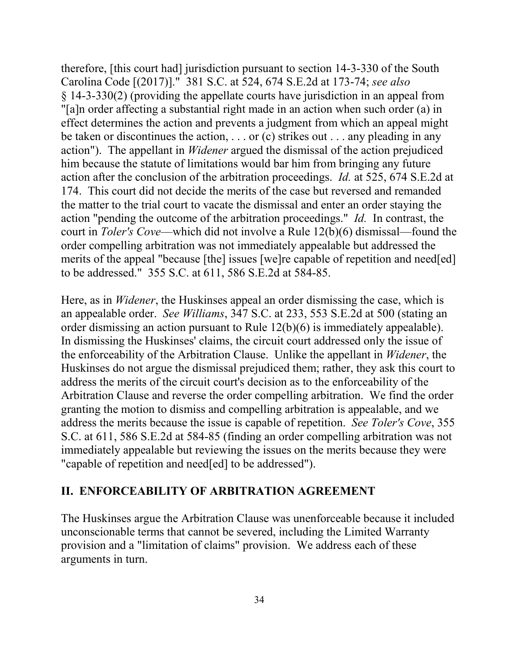Carolina Code [(2017)]." 381 S.C. at 524, 674 S.E.2d at 173-74; *see also*  be taken or discontinues the action, . . . or (c) strikes out . . . any pleading in any him because the statute of limitations would bar him from bringing any future action "pending the outcome of the arbitration proceedings." *Id.* In contrast, the court in *Toler's Cove*—which did not involve a Rule 12(b)(6) dismissal—found the order compelling arbitration was not immediately appealable but addressed the to be addressed." 355 S.C. at 611, 586 S.E.2d at 584-85. therefore, [this court had] jurisdiction pursuant to section 14-3-330 of the South § 14-3-330(2) (providing the appellate courts have jurisdiction in an appeal from "[a]n order affecting a substantial right made in an action when such order (a) in effect determines the action and prevents a judgment from which an appeal might action"). The appellant in *Widener* argued the dismissal of the action prejudiced action after the conclusion of the arbitration proceedings. *Id.* at 525, 674 S.E.2d at 174. This court did not decide the merits of the case but reversed and remanded the matter to the trial court to vacate the dismissal and enter an order staying the merits of the appeal "because [the] issues [we]re capable of repetition and need[ed]

 an appealable order. *See Williams*, 347 S.C. at 233, 553 S.E.2d at 500 (stating an order dismissing an action pursuant to Rule  $12(b)(6)$  is immediately appealable). order dismissing an action pursuant to Rule 12(b)(6) is immediately appealable). In dismissing the Huskinses' claims, the circuit court addressed only the issue of the enforceability of the Arbitration Clause. Unlike the appellant in *Widener*, the Arbitration Clause and reverse the order compelling arbitration. We find the order address the merits because the issue is capable of repetition. *See Toler's Cove*, 355 immediately appealable but reviewing the issues on the merits because they were Here, as in *Widener*, the Huskinses appeal an order dismissing the case, which is Huskinses do not argue the dismissal prejudiced them; rather, they ask this court to address the merits of the circuit court's decision as to the enforceability of the granting the motion to dismiss and compelling arbitration is appealable, and we S.C. at 611, 586 S.E.2d at 584-85 (finding an order compelling arbitration was not "capable of repetition and need[ed] to be addressed").

#### **II. ENFORCEABILITY OF ARBITRATION AGREEMENT**

 provision and a "limitation of claims" provision. We address each of these arguments in turn. The Huskinses argue the Arbitration Clause was unenforceable because it included unconscionable terms that cannot be severed, including the Limited Warranty arguments in turn.<br>34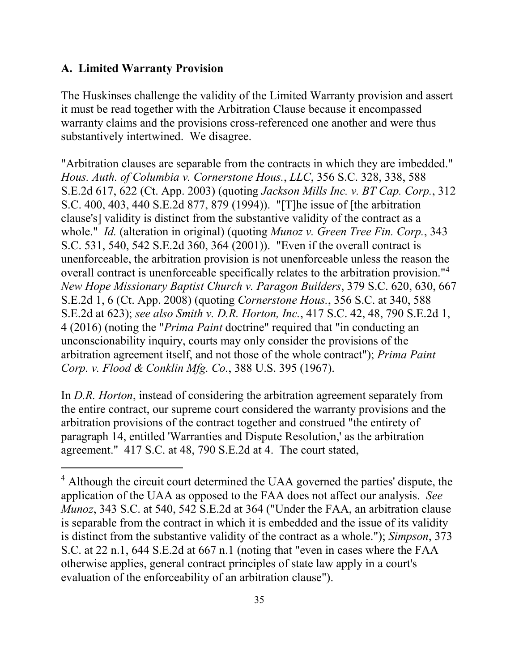#### **A. Limited Warranty Provision**

 $\overline{a}$ 

The Huskinses challenge the validity of the Limited Warranty provision and assert it must be read together with the Arbitration Clause because it encompassed warranty claims and the provisions cross-referenced one another and were thus substantively intertwined. We disagree.

"Arbitration clauses are separable from the contracts in which they are imbedded." *Hous. Auth. of Columbia v. Cornerstone Hous.*, *LLC*, 356 S.C. 328, 338, 588 S.E.2d 617, 622 (Ct. App. 2003) (quoting *Jackson Mills Inc. v. BT Cap. Corp.*, 312 S.C. 400, 403, 440 S.E.2d 877, 879 (1994)). "[T]he issue of [the arbitration clause's] validity is distinct from the substantive validity of the contract as a whole." *Id.* (alteration in original) (quoting *Munoz v. Green Tree Fin. Corp.*, 343 S.C. 531, 540, 542 S.E.2d 360, 364 (2001)). "Even if the overall contract is unenforceable, the arbitration provision is not unenforceable unless the reason the overall contract is unenforceable specifically relates to the arbitration provision."<sup>4</sup> *New Hope Missionary Baptist Church v. Paragon Builders*, 379 S.C. 620, 630, 667 S.E.2d 1, 6 (Ct. App. 2008) (quoting *Cornerstone Hous.*, 356 S.C. at 340, 588 S.E.2d at 623); *see also Smith v. D.R. Horton, Inc.*, 417 S.C. 42, 48, 790 S.E.2d 1, 4 (2016) (noting the "*Prima Paint* doctrine" required that "in conducting an unconscionability inquiry, courts may only consider the provisions of the arbitration agreement itself, and not those of the whole contract"); *Prima Paint Corp. v. Flood & Conklin Mfg. Co.*, 388 U.S. 395 (1967).

In *D.R. Horton*, instead of considering the arbitration agreement separately from the entire contract, our supreme court considered the warranty provisions and the arbitration provisions of the contract together and construed "the entirety of paragraph 14, entitled 'Warranties and Dispute Resolution,' as the arbitration agreement." 417 S.C. at 48, 790 S.E.2d at 4. The court stated,

<span id="page-34-0"></span><sup>&</sup>lt;sup>4</sup> Although the circuit court determined the UAA governed the parties' dispute, the application of the UAA as opposed to the FAA does not affect our analysis. *See Munoz*, 343 S.C. at 540, 542 S.E.2d at 364 ("Under the FAA, an arbitration clause is separable from the contract in which it is embedded and the issue of its validity is distinct from the substantive validity of the contract as a whole."); *Simpson*, 373 S.C. at 22 n.1, 644 S.E.2d at 667 n.1 (noting that "even in cases where the FAA otherwise applies, general contract principles of state law apply in a court's evaluation of the enforceability of an arbitration clause").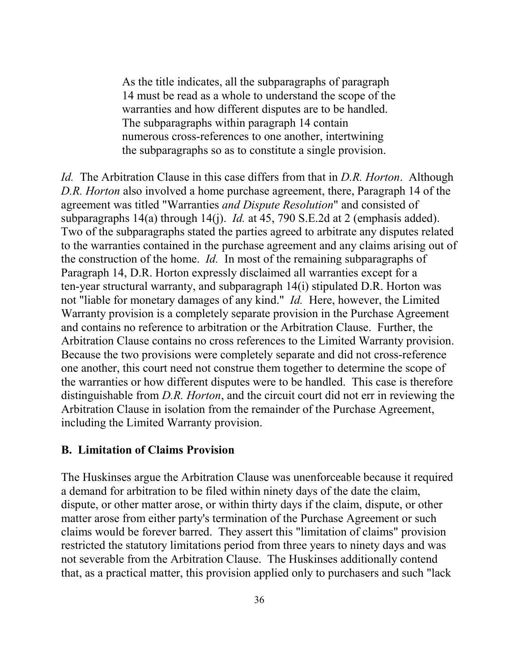14 must be read as a whole to understand the scope of the warranties and how different disputes are to be handled. the subparagraphs so as to constitute a single provision. As the title indicates, all the subparagraphs of paragraph The subparagraphs within paragraph 14 contain numerous cross-references to one another, intertwining

 *Id.* The Arbitration Clause in this case differs from that in *D.R. Horton*. Although subparagraphs 14(a) through 14(j). *Id.* at 45, 790 S.E.2d at 2 (emphasis added). the construction of the home. *Id.* In most of the remaining subparagraphs of Paragraph 14, D.R. Horton expressly disclaimed all warranties except for a not "liable for monetary damages of any kind." *Id.* Here, however, the Limited Arbitration Clause contains no cross references to the Limited Warranty provision. one another, this court need not construe them together to determine the scope of *D.R. Horton* also involved a home purchase agreement, there, Paragraph 14 of the agreement was titled "Warranties *and Dispute Resolution*" and consisted of Two of the subparagraphs stated the parties agreed to arbitrate any disputes related to the warranties contained in the purchase agreement and any claims arising out of ten-year structural warranty, and subparagraph 14(i) stipulated D.R. Horton was Warranty provision is a completely separate provision in the Purchase Agreement and contains no reference to arbitration or the Arbitration Clause. Further, the Because the two provisions were completely separate and did not cross-reference the warranties or how different disputes were to be handled. This case is therefore distinguishable from *D.R. Horton*, and the circuit court did not err in reviewing the Arbitration Clause in isolation from the remainder of the Purchase Agreement, including the Limited Warranty provision.

#### **B. Limitation of Claims Provision**

 dispute, or other matter arose, or within thirty days if the claim, dispute, or other claims would be forever barred. They assert this "limitation of claims" provision restricted the statutory limitations period from three years to ninety days and was The Huskinses argue the Arbitration Clause was unenforceable because it required a demand for arbitration to be filed within ninety days of the date the claim, matter arose from either party's termination of the Purchase Agreement or such not severable from the Arbitration Clause. The Huskinses additionally contend that, as a practical matter, this provision applied only to purchasers and such "lack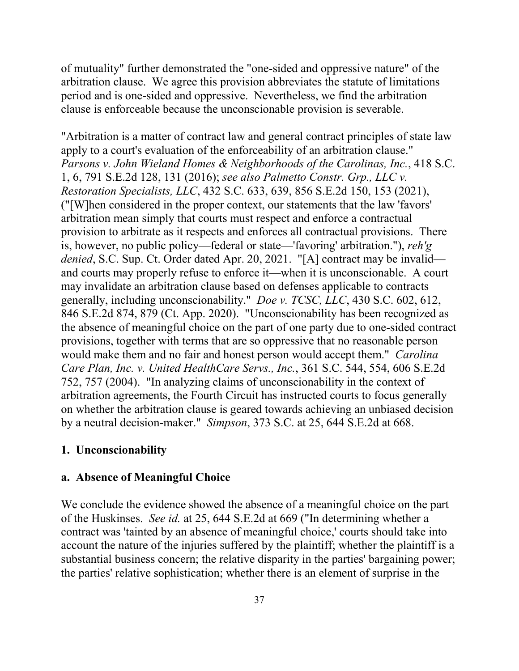arbitration clause. We agree this provision abbreviates the statute of limitations of mutuality" further demonstrated the "one-sided and oppressive nature" of the period and is one-sided and oppressive. Nevertheless, we find the arbitration clause is enforceable because the unconscionable provision is severable.

 apply to a court's evaluation of the enforceability of an arbitration clause." is, however, no public policy—federal or state—'favoring' arbitration."), *reh'g denied*, S.C. Sup. Ct. Order dated Apr. 20, 2021. "[A] contract may be invalid— and courts may properly refuse to enforce it—when it is unconscionable. A court generally, including unconscionability." *Doe v. TCSC, LLC*, 430 S.C. 602, 612, 846 S.E.2d 874, 879 (Ct. App. 2020). "Unconscionability has been recognized as the absence of meaningful choice on the part of one party due to one-sided contract would make them and no fair and honest person would accept them." *Carolina*  752, 757 (2004). "In analyzing claims of unconscionability in the context of by a neutral decision-maker." *Simpson*, 373 S.C. at 25, 644 S.E.2d at 668. "Arbitration is a matter of contract law and general contract principles of state law *Parsons v. John Wieland Homes & Neighborhoods of the Carolinas, Inc.*, 418 S.C. 1, 6, 791 S.E.2d 128, 131 (2016); *see also Palmetto Constr. Grp., LLC v. Restoration Specialists, LLC*, 432 S.C. 633, 639, 856 S.E.2d 150, 153 (2021), ("[W]hen considered in the proper context, our statements that the law 'favors' arbitration mean simply that courts must respect and enforce a contractual provision to arbitrate as it respects and enforces all contractual provisions. There may invalidate an arbitration clause based on defenses applicable to contracts provisions, together with terms that are so oppressive that no reasonable person *Care Plan, Inc. v. United HealthCare Servs., Inc.*, 361 S.C. 544, 554, 606 S.E.2d arbitration agreements, the Fourth Circuit has instructed courts to focus generally on whether the arbitration clause is geared towards achieving an unbiased decision

#### **1. Unconscionability**

#### **a. Absence of Meaningful Choice**

 account the nature of the injuries suffered by the plaintiff; whether the plaintiff is a the parties' relative sophistication; whether there is an element of surprise in the We conclude the evidence showed the absence of a meaningful choice on the part of the Huskinses. *See id.* at 25, 644 S.E.2d at 669 ("In determining whether a contract was 'tainted by an absence of meaningful choice,' courts should take into substantial business concern; the relative disparity in the parties' bargaining power;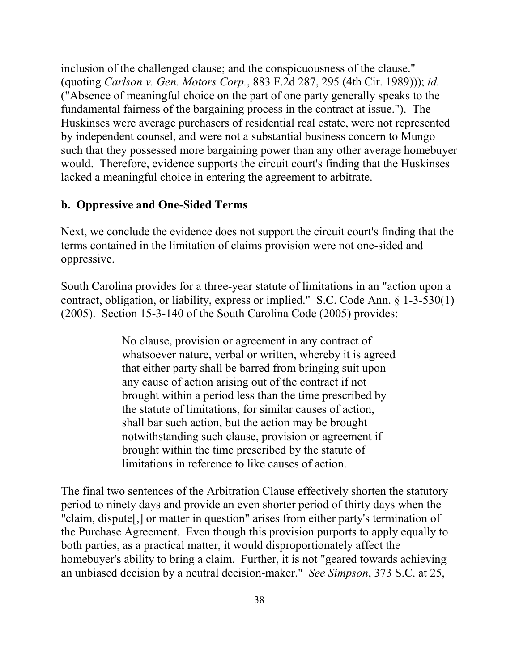fundamental fairness of the bargaining process in the contract at issue."). The such that they possessed more bargaining power than any other average homebuyer lacked a meaningful choice in entering the agreement to arbitrate. inclusion of the challenged clause; and the conspicuousness of the clause." (quoting *Carlson v. Gen. Motors Corp.*, 883 F.2d 287, 295 (4th Cir. 1989))); *id.*  ("Absence of meaningful choice on the part of one party generally speaks to the Huskinses were average purchasers of residential real estate, were not represented by independent counsel, and were not a substantial business concern to Mungo would. Therefore, evidence supports the circuit court's finding that the Huskinses

#### **b. Oppressive and One-Sided Terms**

Next, we conclude the evidence does not support the circuit court's finding that the terms contained in the limitation of claims provision were not one-sided and oppressive.

 contract, obligation, or liability, express or implied." S.C. Code Ann. § 1-3-530(1) South Carolina provides for a three-year statute of limitations in an "action upon a (2005). Section 15-3-140 of the South Carolina Code (2005) provides:

> the statute of limitations, for similar causes of action, shall bar such action, but the action may be brought No clause, provision or agreement in any contract of whatsoever nature, verbal or written, whereby it is agreed that either party shall be barred from bringing suit upon any cause of action arising out of the contract if not brought within a period less than the time prescribed by notwithstanding such clause, provision or agreement if brought within the time prescribed by the statute of limitations in reference to like causes of action.

 the Purchase Agreement. Even though this provision purports to apply equally to an unbiased decision by a neutral decision-maker." *See Simpson*, 373 S.C. at 25, The final two sentences of the Arbitration Clause effectively shorten the statutory period to ninety days and provide an even shorter period of thirty days when the "claim, dispute[,] or matter in question" arises from either party's termination of both parties, as a practical matter, it would disproportionately affect the homebuyer's ability to bring a claim. Further, it is not "geared towards achieving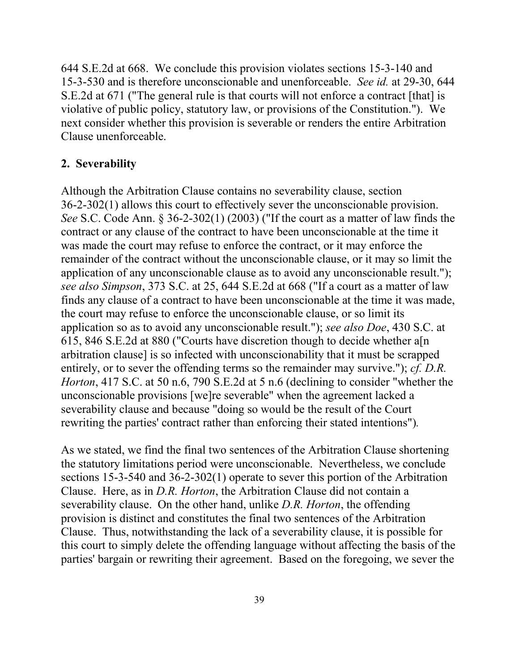644 S.E.2d at 668. We conclude this provision violates sections 15-3-140 and 15-3-530 and is therefore unconscionable and unenforceable. *See id.* at 29-30, 644 S.E.2d at 671 ("The general rule is that courts will not enforce a contract [that] is violative of public policy, statutory law, or provisions of the Constitution."). We Clause unenforceable. next consider whether this provision is severable or renders the entire Arbitration

#### **2. Severability**

 36-2-302(1) allows this court to effectively sever the unconscionable provision. remainder of the contract without the unconscionable clause, or it may so limit the *see also Simpson*, 373 S.C. at 25, 644 S.E.2d at 668 ("If a court as a matter of law Although the Arbitration Clause contains no severability clause, section *See* S.C. Code Ann. § 36-2-302(1) (2003) ("If the court as a matter of law finds the contract or any clause of the contract to have been unconscionable at the time it was made the court may refuse to enforce the contract, or it may enforce the application of any unconscionable clause as to avoid any unconscionable result."); finds any clause of a contract to have been unconscionable at the time it was made, the court may refuse to enforce the unconscionable clause, or so limit its application so as to avoid any unconscionable result."); *see also Doe*, 430 S.C. at 615, 846 S.E.2d at 880 ("Courts have discretion though to decide whether a[n arbitration clause] is so infected with unconscionability that it must be scrapped entirely, or to sever the offending terms so the remainder may survive."); *cf. D.R. Horton*, 417 S.C. at 50 n.6, 790 S.E.2d at 5 n.6 (declining to consider "whether the unconscionable provisions [we]re severable" when the agreement lacked a severability clause and because "doing so would be the result of the Court rewriting the parties' contract rather than enforcing their stated intentions")*.* 

 sections 15-3-540 and 36-2-302(1) operate to sever this portion of the Arbitration severability clause. On the other hand, unlike *D.R. Horton*, the offending Clause. Thus, notwithstanding the lack of a severability clause, it is possible for this court to simply delete the offending language without affecting the basis of the As we stated, we find the final two sentences of the Arbitration Clause shortening the statutory limitations period were unconscionable. Nevertheless, we conclude Clause. Here, as in *D.R. Horton*, the Arbitration Clause did not contain a provision is distinct and constitutes the final two sentences of the Arbitration parties' bargain or rewriting their agreement. Based on the foregoing, we sever the